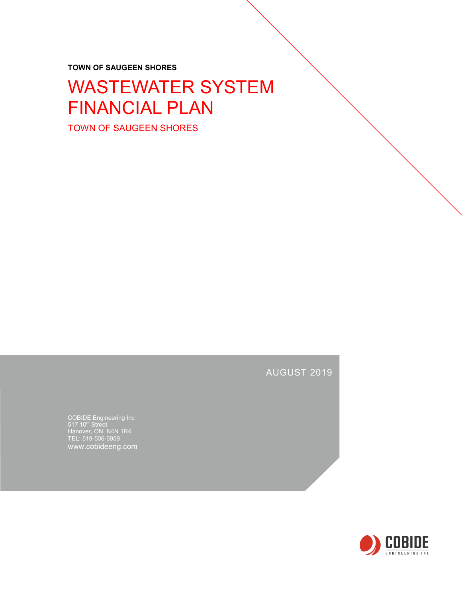**TOWN OF SAUGEEN SHORES**

# WASTEWATER SYSTEM FINANCIAL PLAN

TOWN OF SAUGEEN SHORES

## AUGUST 2019

COBIDE Engineering Inc Hanover, ON N4N 1R4 TEL: 519-506-5959 www.cobideeng.com

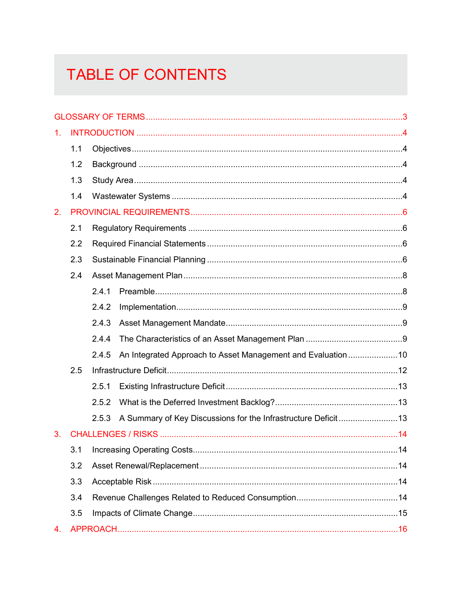# TABLE OF CONTENTS

| 1. |     |       |                                                             |  |
|----|-----|-------|-------------------------------------------------------------|--|
|    | 1.1 |       |                                                             |  |
|    | 1.2 |       |                                                             |  |
|    | 1.3 |       |                                                             |  |
|    | 1.4 |       |                                                             |  |
| 2. |     |       |                                                             |  |
|    | 2.1 |       |                                                             |  |
|    | 2.2 |       |                                                             |  |
|    | 2.3 |       |                                                             |  |
|    | 2.4 |       |                                                             |  |
|    |     | 2.4.1 |                                                             |  |
|    |     | 2.4.2 |                                                             |  |
|    |     | 2.4.3 |                                                             |  |
|    |     | 2.4.4 |                                                             |  |
|    |     | 2.4.5 | An Integrated Approach to Asset Management and Evaluation10 |  |
|    | 2.5 |       |                                                             |  |
|    |     | 2.5.1 |                                                             |  |
|    |     | 2.5.2 |                                                             |  |
|    |     | 2.5.3 |                                                             |  |
| 3. |     |       |                                                             |  |
|    |     |       |                                                             |  |
|    | 3.2 |       |                                                             |  |
|    | 3.3 |       |                                                             |  |
|    | 3.4 |       |                                                             |  |
|    | 3.5 |       |                                                             |  |
| 4. |     |       |                                                             |  |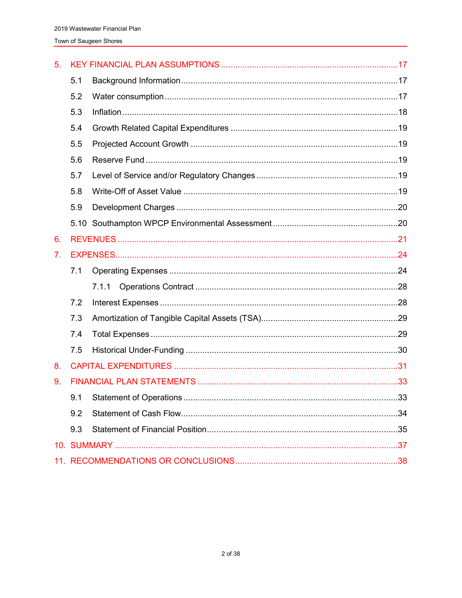| 5. |     |       |  |
|----|-----|-------|--|
|    | 5.1 |       |  |
|    | 5.2 |       |  |
|    | 5.3 |       |  |
|    | 5.4 |       |  |
|    | 5.5 |       |  |
|    | 5.6 |       |  |
|    | 5.7 |       |  |
|    | 5.8 |       |  |
|    | 5.9 |       |  |
|    |     |       |  |
| 6. |     |       |  |
| 7. |     |       |  |
|    | 7.1 |       |  |
|    |     | 7.1.1 |  |
|    | 7.2 |       |  |
|    | 7.3 |       |  |
|    | 7.4 |       |  |
|    | 7.5 |       |  |
| 8. |     |       |  |
| 9. |     |       |  |
|    | 9.1 |       |  |
|    | 9.2 |       |  |
|    | 9.3 |       |  |
|    |     |       |  |
|    |     |       |  |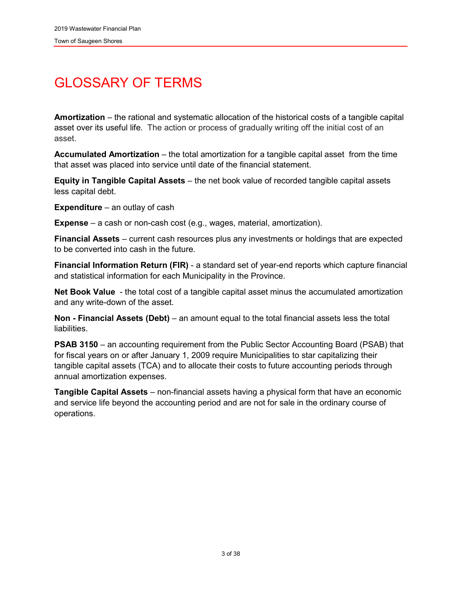## <span id="page-3-0"></span>GLOSSARY OF TERMS

**Amortization** – the rational and systematic allocation of the historical costs of a tangible capital asset over its useful life. The action or process of gradually writing off the initial cost of an asset.

**Accumulated Amortization** – the total amortization for a tangible capital asset from the time that asset was placed into service until date of the financial statement.

**Equity in Tangible Capital Assets** – the net book value of recorded tangible capital assets less capital debt.

**Expenditure** – an outlay of cash

**Expense** – a cash or non-cash cost (e.g., wages, material, amortization).

**Financial Assets** – current cash resources plus any investments or holdings that are expected to be converted into cash in the future.

**Financial Information Return (FIR)** - a standard set of year-end reports which capture financial and statistical information for each Municipality in the Province.

**Net Book Value** - the total cost of a tangible capital asset minus the accumulated amortization and any write-down of the asset.

**Non - Financial Assets (Debt)** – an amount equal to the total financial assets less the total liabilities.

**PSAB 3150** – an accounting requirement from the Public Sector Accounting Board (PSAB) that for fiscal years on or after January 1, 2009 require Municipalities to star capitalizing their tangible capital assets (TCA) and to allocate their costs to future accounting periods through annual amortization expenses.

**Tangible Capital Assets** – non-financial assets having a physical form that have an economic and service life beyond the accounting period and are not for sale in the ordinary course of operations.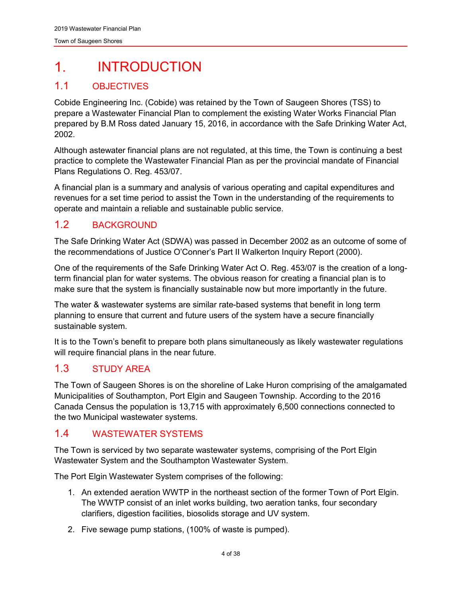#### <span id="page-4-0"></span> $\mathbf 1$ INTRODUCTION

## <span id="page-4-1"></span>1.1 OBJECTIVES

Cobide Engineering Inc. (Cobide) was retained by the Town of Saugeen Shores (TSS) to prepare a Wastewater Financial Plan to complement the existing Water Works Financial Plan prepared by B.M Ross dated January 15, 2016, in accordance with the Safe Drinking Water Act, 2002.

Although astewater financial plans are not regulated, at this time, the Town is continuing a best practice to complete the Wastewater Financial Plan as per the provincial mandate of Financial Plans Regulations O. Reg. 453/07.

A financial plan is a summary and analysis of various operating and capital expenditures and revenues for a set time period to assist the Town in the understanding of the requirements to operate and maintain a reliable and sustainable public service.

## <span id="page-4-2"></span>1.2 BACKGROUND

The Safe Drinking Water Act (SDWA) was passed in December 2002 as an outcome of some of the recommendations of Justice O'Conner's Part II Walkerton Inquiry Report (2000).

One of the requirements of the Safe Drinking Water Act O. Reg. 453/07 is the creation of a longterm financial plan for water systems. The obvious reason for creating a financial plan is to make sure that the system is financially sustainable now but more importantly in the future.

The water & wastewater systems are similar rate-based systems that benefit in long term planning to ensure that current and future users of the system have a secure financially sustainable system.

It is to the Town's benefit to prepare both plans simultaneously as likely wastewater regulations will require financial plans in the near future.

## <span id="page-4-3"></span>1.3 STUDY AREA

The Town of Saugeen Shores is on the shoreline of Lake Huron comprising of the amalgamated Municipalities of Southampton, Port Elgin and Saugeen Township. According to the 2016 Canada Census the population is 13,715 with approximately 6,500 connections connected to the two Municipal wastewater systems.

## <span id="page-4-4"></span>1.4 WASTEWATER SYSTEMS

The Town is serviced by two separate wastewater systems, comprising of the Port Elgin Wastewater System and the Southampton Wastewater System.

The Port Elgin Wastewater System comprises of the following:

- 1. An extended aeration WWTP in the northeast section of the former Town of Port Elgin. The WWTP consist of an inlet works building, two aeration tanks, four secondary clarifiers, digestion facilities, biosolids storage and UV system.
- 2. Five sewage pump stations, (100% of waste is pumped).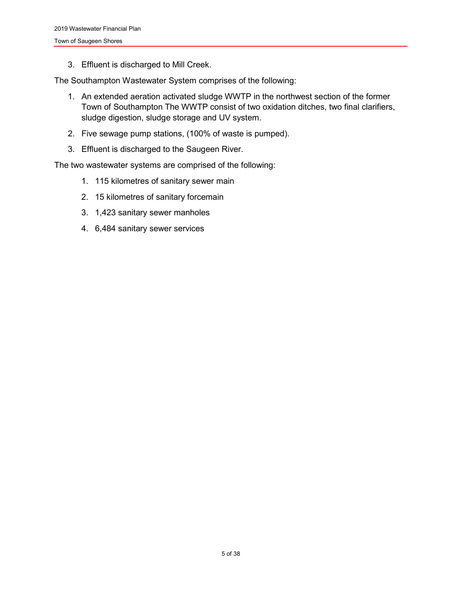3. Effluent is discharged to Mill Creek.

The Southampton Wastewater System comprises of the following:

- 1. An extended aeration activated sludge WWTP in the northwest section of the former Town of Southampton The WWTP consist of two oxidation ditches, two final clarifiers, sludge digestion, sludge storage and UV system.
- 2. Five sewage pump stations, (100% of waste is pumped).
- 3. Effluent is discharged to the Saugeen River.

The two wastewater systems are comprised of the following:

- 1. 115 kilometres of sanitary sewer main
- 2. 15 kilometres of sanitary forcemain
- 3. 1,423 sanitary sewer manholes
- 4. 6,484 sanitary sewer services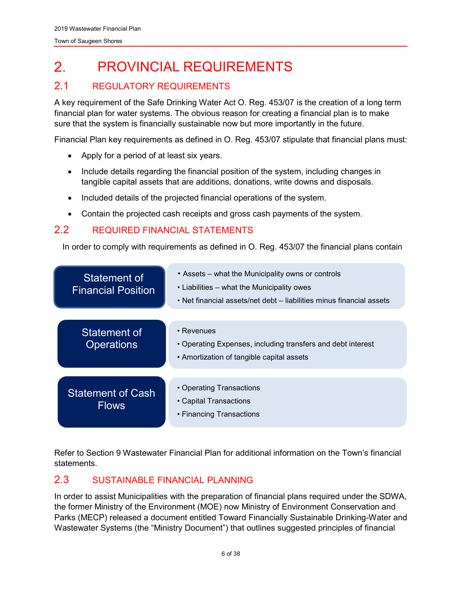#### <span id="page-6-0"></span> $2<sub>1</sub>$ PROVINCIAL REQUIREMENTS

## <span id="page-6-1"></span>2.1 REGULATORY REQUIREMENTS

A key requirement of the Safe Drinking Water Act O. Reg. 453/07 is the creation of a long term financial plan for water systems. The obvious reason for creating a financial plan is to make sure that the system is financially sustainable now but more importantly in the future.

Financial Plan key requirements as defined in O. Reg. 453/07 stipulate that financial plans must:

- Apply for a period of at least six years.
- Include details regarding the financial position of the system, including changes in tangible capital assets that are additions, donations, write downs and disposals.
- Included details of the projected financial operations of the system.
- Contain the projected cash receipts and gross cash payments of the system.

## <span id="page-6-2"></span>2.2 REQUIRED FINANCIAL STATEMENTS

In order to comply with requirements as defined in O. Reg. 453/07 the financial plans contain



Refer to Section 9 Wastewater Financial Plan for additional information on the Town's financial statements.

## <span id="page-6-3"></span>2.3 SUSTAINABLE FINANCIAL PLANNING

In order to assist Municipalities with the preparation of financial plans required under the SDWA, the former Ministry of the Environment (MOE) now Ministry of Environment Conservation and Parks (MECP) released a document entitled Toward Financially Sustainable Drinking-Water and Wastewater Systems (the "Ministry Document") that outlines suggested principles of financial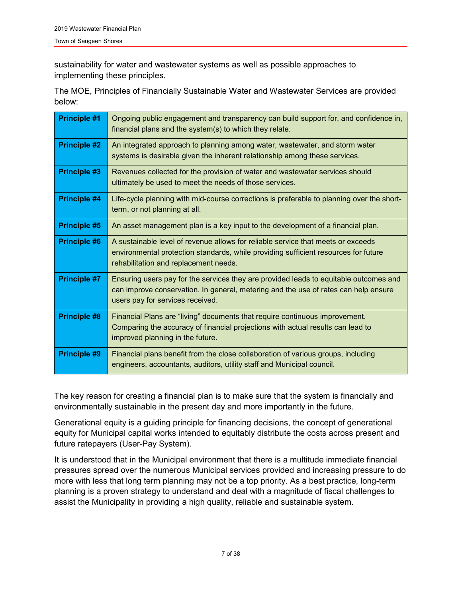sustainability for water and wastewater systems as well as possible approaches to implementing these principles.

The MOE, Principles of Financially Sustainable Water and Wastewater Services are provided below:

| <b>Principle #1</b> | Ongoing public engagement and transparency can build support for, and confidence in,<br>financial plans and the system(s) to which they relate.                                                                  |
|---------------------|------------------------------------------------------------------------------------------------------------------------------------------------------------------------------------------------------------------|
| <b>Principle #2</b> | An integrated approach to planning among water, wastewater, and storm water<br>systems is desirable given the inherent relationship among these services.                                                        |
| <b>Principle #3</b> | Revenues collected for the provision of water and wastewater services should<br>ultimately be used to meet the needs of those services.                                                                          |
| Principle #4        | Life-cycle planning with mid-course corrections is preferable to planning over the short-<br>term, or not planning at all.                                                                                       |
| <b>Principle #5</b> | An asset management plan is a key input to the development of a financial plan.                                                                                                                                  |
| <b>Principle #6</b> | A sustainable level of revenue allows for reliable service that meets or exceeds<br>environmental protection standards, while providing sufficient resources for future<br>rehabilitation and replacement needs. |
| <b>Principle #7</b> | Ensuring users pay for the services they are provided leads to equitable outcomes and<br>can improve conservation. In general, metering and the use of rates can help ensure<br>users pay for services received. |
| <b>Principle #8</b> | Financial Plans are "living" documents that require continuous improvement.<br>Comparing the accuracy of financial projections with actual results can lead to<br>improved planning in the future.               |
| <b>Principle #9</b> | Financial plans benefit from the close collaboration of various groups, including<br>engineers, accountants, auditors, utility staff and Municipal council.                                                      |

The key reason for creating a financial plan is to make sure that the system is financially and environmentally sustainable in the present day and more importantly in the future.

Generational equity is a guiding principle for financing decisions, the concept of generational equity for Municipal capital works intended to equitably distribute the costs across present and future ratepayers (User-Pay System).

It is understood that in the Municipal environment that there is a multitude immediate financial pressures spread over the numerous Municipal services provided and increasing pressure to do more with less that long term planning may not be a top priority. As a best practice, long-term planning is a proven strategy to understand and deal with a magnitude of fiscal challenges to assist the Municipality in providing a high quality, reliable and sustainable system.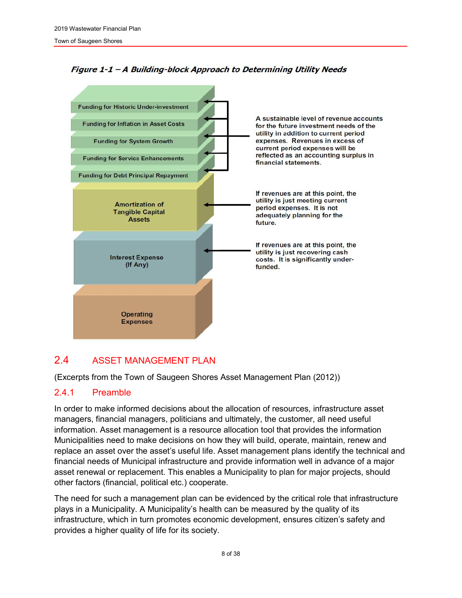

#### Figure 1-1 - A Building-block Approach to Determining Utility Needs

## <span id="page-8-0"></span>2.4 ASSET MANAGEMENT PLAN

(Excerpts from the Town of Saugeen Shores Asset Management Plan (2012))

#### <span id="page-8-1"></span>2.4.1 Preamble

In order to make informed decisions about the allocation of resources, infrastructure asset managers, financial managers, politicians and ultimately, the customer, all need useful information. Asset management is a resource allocation tool that provides the information Municipalities need to make decisions on how they will build, operate, maintain, renew and replace an asset over the asset's useful life. Asset management plans identify the technical and financial needs of Municipal infrastructure and provide information well in advance of a major asset renewal or replacement. This enables a Municipality to plan for major projects, should other factors (financial, political etc.) cooperate.

The need for such a management plan can be evidenced by the critical role that infrastructure plays in a Municipality. A Municipality's health can be measured by the quality of its infrastructure, which in turn promotes economic development, ensures citizen's safety and provides a higher quality of life for its society.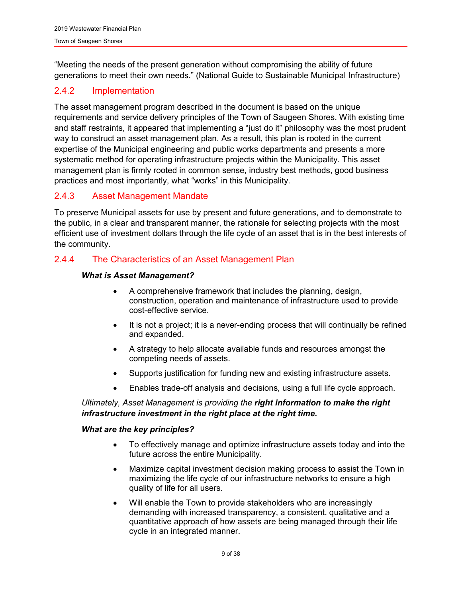"Meeting the needs of the present generation without compromising the ability of future generations to meet their own needs." (National Guide to Sustainable Municipal Infrastructure)

#### <span id="page-9-0"></span>2.4.2 Implementation

The asset management program described in the document is based on the unique requirements and service delivery principles of the Town of Saugeen Shores. With existing time and staff restraints, it appeared that implementing a "just do it" philosophy was the most prudent way to construct an asset management plan. As a result, this plan is rooted in the current expertise of the Municipal engineering and public works departments and presents a more systematic method for operating infrastructure projects within the Municipality. This asset management plan is firmly rooted in common sense, industry best methods, good business practices and most importantly, what "works" in this Municipality.

#### <span id="page-9-1"></span>2.4.3 Asset Management Mandate

To preserve Municipal assets for use by present and future generations, and to demonstrate to the public, in a clear and transparent manner, the rationale for selecting projects with the most efficient use of investment dollars through the life cycle of an asset that is in the best interests of the community.

#### <span id="page-9-2"></span>2.4.4 The Characteristics of an Asset Management Plan

#### *What is Asset Management?*

- A comprehensive framework that includes the planning, design, construction, operation and maintenance of infrastructure used to provide cost-effective service.
- It is not a project; it is a never-ending process that will continually be refined and expanded.
- A strategy to help allocate available funds and resources amongst the competing needs of assets.
- Supports justification for funding new and existing infrastructure assets.
- Enables trade-off analysis and decisions, using a full life cycle approach.

#### *Ultimately, Asset Management is providing the right information to make the right infrastructure investment in the right place at the right time.*

#### *What are the key principles?*

- To effectively manage and optimize infrastructure assets today and into the future across the entire Municipality.
- Maximize capital investment decision making process to assist the Town in maximizing the life cycle of our infrastructure networks to ensure a high quality of life for all users.
- Will enable the Town to provide stakeholders who are increasingly demanding with increased transparency, a consistent, qualitative and a quantitative approach of how assets are being managed through their life cycle in an integrated manner.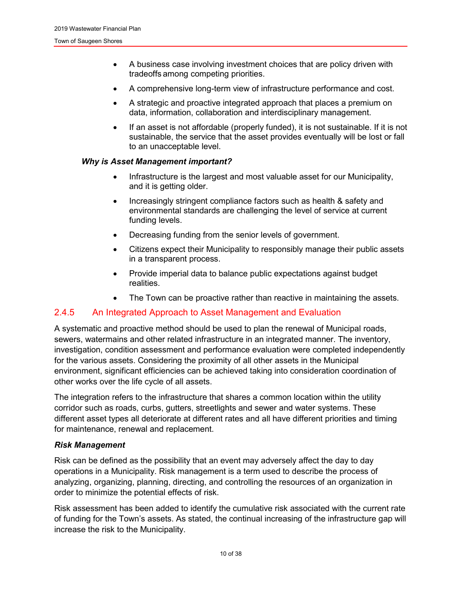- A business case involving investment choices that are policy driven with tradeoffs among competing priorities.
- A comprehensive long-term view of infrastructure performance and cost.
- A strategic and proactive integrated approach that places a premium on data, information, collaboration and interdisciplinary management.
- If an asset is not affordable (properly funded), it is not sustainable. If it is not sustainable, the service that the asset provides eventually will be lost or fall to an unacceptable level.

#### *Why is Asset Management important?*

- Infrastructure is the largest and most valuable asset for our Municipality, and it is getting older.
- Increasingly stringent compliance factors such as health & safety and environmental standards are challenging the level of service at current funding levels.
- Decreasing funding from the senior levels of government.
- Citizens expect their Municipality to responsibly manage their public assets in a transparent process.
- Provide imperial data to balance public expectations against budget realities.
- The Town can be proactive rather than reactive in maintaining the assets.

#### <span id="page-10-0"></span>2.4.5 An Integrated Approach to Asset Management and Evaluation

A systematic and proactive method should be used to plan the renewal of Municipal roads, sewers, watermains and other related infrastructure in an integrated manner. The inventory, investigation, condition assessment and performance evaluation were completed independently for the various assets. Considering the proximity of all other assets in the Municipal environment, significant efficiencies can be achieved taking into consideration coordination of other works over the life cycle of all assets.

The integration refers to the infrastructure that shares a common location within the utility corridor such as roads, curbs, gutters, streetlights and sewer and water systems. These different asset types all deteriorate at different rates and all have different priorities and timing for maintenance, renewal and replacement.

#### *Risk Management*

Risk can be defined as the possibility that an event may adversely affect the day to day operations in a Municipality. Risk management is a term used to describe the process of analyzing, organizing, planning, directing, and controlling the resources of an organization in order to minimize the potential effects of risk.

Risk assessment has been added to identify the cumulative risk associated with the current rate of funding for the Town's assets. As stated, the continual increasing of the infrastructure gap will increase the risk to the Municipality.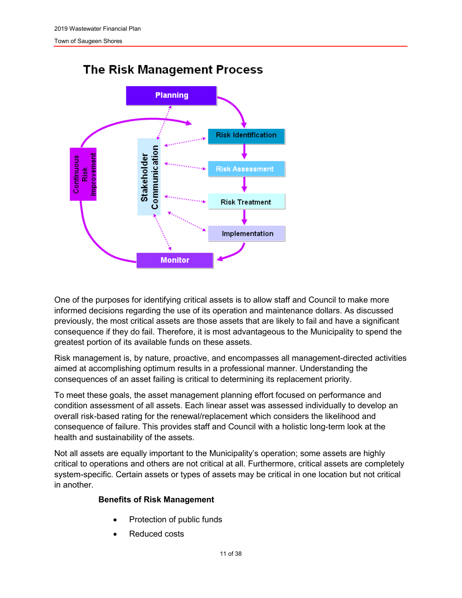

## **The Risk Management Process**

One of the purposes for identifying critical assets is to allow staff and Council to make more informed decisions regarding the use of its operation and maintenance dollars. As discussed previously, the most critical assets are those assets that are likely to fail and have a significant consequence if they do fail. Therefore, it is most advantageous to the Municipality to spend the greatest portion of its available funds on these assets.

Risk management is, by nature, proactive, and encompasses all management-directed activities aimed at accomplishing optimum results in a professional manner. Understanding the consequences of an asset failing is critical to determining its replacement priority.

To meet these goals, the asset management planning effort focused on performance and condition assessment of all assets. Each linear asset was assessed individually to develop an overall risk-based rating for the renewal/replacement which considers the likelihood and consequence of failure. This provides staff and Council with a holistic long-term look at the health and sustainability of the assets.

Not all assets are equally important to the Municipality's operation; some assets are highly critical to operations and others are not critical at all. Furthermore, critical assets are completely system-specific. Certain assets or types of assets may be critical in one location but not critical in another.

#### **Benefits of Risk Management**

- Protection of public funds
- Reduced costs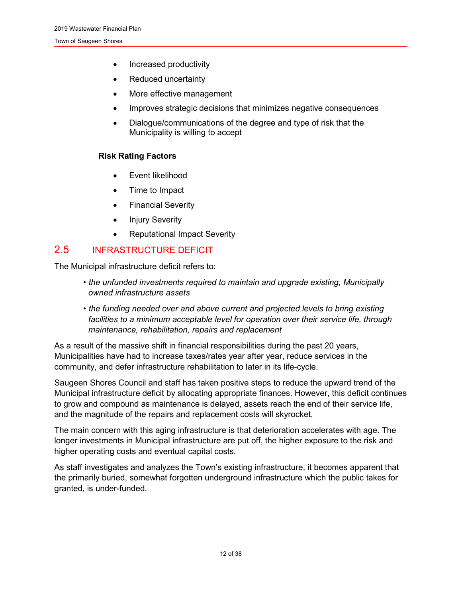- Increased productivity
- Reduced uncertainty
- More effective management
- Improves strategic decisions that minimizes negative consequences
- Dialogue/communications of the degree and type of risk that the Municipality is willing to accept

#### **Risk Rating Factors**

- Event likelihood
- Time to Impact
- Financial Severity
- Injury Severity
- Reputational Impact Severity

## <span id="page-12-0"></span>2.5 INFRASTRUCTURE DEFICIT

The Municipal infrastructure deficit refers to:

- *the unfunded investments required to maintain and upgrade existing, Municipally owned infrastructure assets*
- *the funding needed over and above current and projected levels to bring existing facilities to a minimum acceptable level for operation over their service life, through maintenance, rehabilitation, repairs and replacement*

As a result of the massive shift in financial responsibilities during the past 20 years, Municipalities have had to increase taxes/rates year after year, reduce services in the community, and defer infrastructure rehabilitation to later in its life-cycle.

Saugeen Shores Council and staff has taken positive steps to reduce the upward trend of the Municipal infrastructure deficit by allocating appropriate finances. However, this deficit continues to grow and compound as maintenance is delayed, assets reach the end of their service life, and the magnitude of the repairs and replacement costs will skyrocket.

The main concern with this aging infrastructure is that deterioration accelerates with age. The longer investments in Municipal infrastructure are put off, the higher exposure to the risk and higher operating costs and eventual capital costs.

As staff investigates and analyzes the Town's existing infrastructure, it becomes apparent that the primarily buried, somewhat forgotten underground infrastructure which the public takes for granted, is under-funded.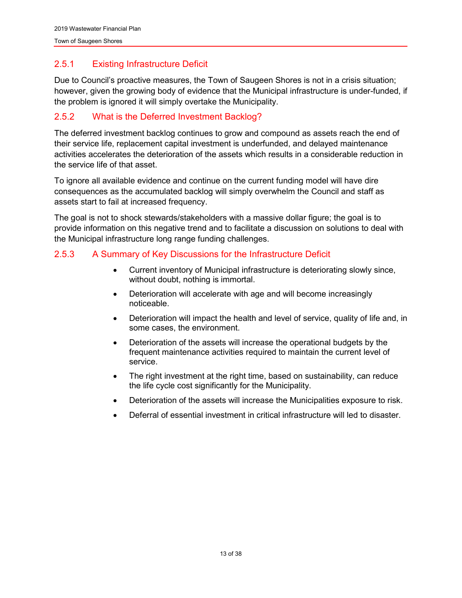## <span id="page-13-0"></span>2.5.1 Existing Infrastructure Deficit

Due to Council's proactive measures, the Town of Saugeen Shores is not in a crisis situation; however, given the growing body of evidence that the Municipal infrastructure is under-funded, if the problem is ignored it will simply overtake the Municipality.

## <span id="page-13-1"></span>2.5.2 What is the Deferred Investment Backlog?

The deferred investment backlog continues to grow and compound as assets reach the end of their service life, replacement capital investment is underfunded, and delayed maintenance activities accelerates the deterioration of the assets which results in a considerable reduction in the service life of that asset.

To ignore all available evidence and continue on the current funding model will have dire consequences as the accumulated backlog will simply overwhelm the Council and staff as assets start to fail at increased frequency.

The goal is not to shock stewards/stakeholders with a massive dollar figure; the goal is to provide information on this negative trend and to facilitate a discussion on solutions to deal with the Municipal infrastructure long range funding challenges.

## <span id="page-13-2"></span>2.5.3 A Summary of Key Discussions for the Infrastructure Deficit

- Current inventory of Municipal infrastructure is deteriorating slowly since, without doubt, nothing is immortal.
- Deterioration will accelerate with age and will become increasingly noticeable.
- Deterioration will impact the health and level of service, quality of life and, in some cases, the environment.
- Deterioration of the assets will increase the operational budgets by the frequent maintenance activities required to maintain the current level of service.
- The right investment at the right time, based on sustainability, can reduce the life cycle cost significantly for the Municipality.
- Deterioration of the assets will increase the Municipalities exposure to risk.
- Deferral of essential investment in critical infrastructure will led to disaster.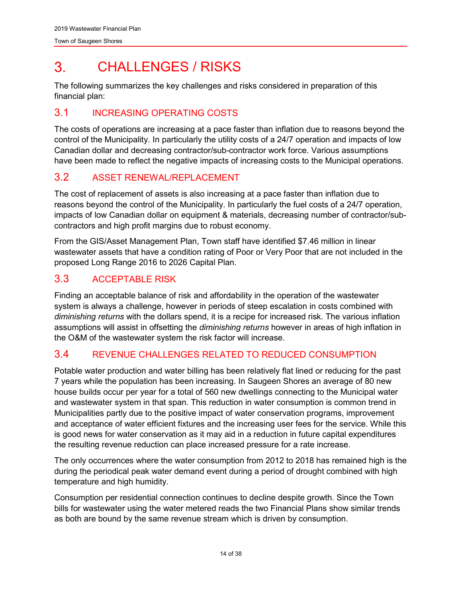#### <span id="page-14-0"></span> $3<sub>1</sub>$ CHALL ENGES / RISKS

The following summarizes the key challenges and risks considered in preparation of this financial plan:

## <span id="page-14-1"></span>3.1 INCREASING OPERATING COSTS

The costs of operations are increasing at a pace faster than inflation due to reasons beyond the control of the Municipality. In particularly the utility costs of a 24/7 operation and impacts of low Canadian dollar and decreasing contractor/sub-contractor work force. Various assumptions have been made to reflect the negative impacts of increasing costs to the Municipal operations.

## <span id="page-14-2"></span>3.2 ASSET RENEWAL/REPLACEMENT

The cost of replacement of assets is also increasing at a pace faster than inflation due to reasons beyond the control of the Municipality. In particularly the fuel costs of a 24/7 operation, impacts of low Canadian dollar on equipment & materials, decreasing number of contractor/subcontractors and high profit margins due to robust economy.

From the GIS/Asset Management Plan, Town staff have identified \$7.46 million in linear wastewater assets that have a condition rating of Poor or Very Poor that are not included in the proposed Long Range 2016 to 2026 Capital Plan.

## <span id="page-14-3"></span>3.3 ACCEPTABLE RISK

Finding an acceptable balance of risk and affordability in the operation of the wastewater system is always a challenge, however in periods of steep escalation in costs combined with *diminishing returns* with the dollars spend, it is a recipe for increased risk. The various inflation assumptions will assist in offsetting the *diminishing returns* however in areas of high inflation in the O&M of the wastewater system the risk factor will increase.

## <span id="page-14-4"></span>3.4 REVENUE CHALLENGES RELATED TO REDUCED CONSUMPTION

Potable water production and water billing has been relatively flat lined or reducing for the past 7 years while the population has been increasing. In Saugeen Shores an average of 80 new house builds occur per year for a total of 560 new dwellings connecting to the Municipal water and wastewater system in that span. This reduction in water consumption is common trend in Municipalities partly due to the positive impact of water conservation programs, improvement and acceptance of water efficient fixtures and the increasing user fees for the service. While this is good news for water conservation as it may aid in a reduction in future capital expenditures the resulting revenue reduction can place increased pressure for a rate increase.

The only occurrences where the water consumption from 2012 to 2018 has remained high is the during the periodical peak water demand event during a period of drought combined with high temperature and high humidity.

Consumption per residential connection continues to decline despite growth. Since the Town bills for wastewater using the water metered reads the two Financial Plans show similar trends as both are bound by the same revenue stream which is driven by consumption.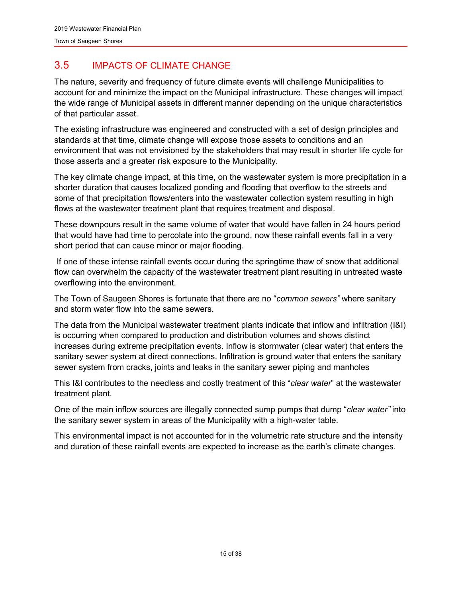## <span id="page-15-0"></span>3.5 IMPACTS OF CLIMATE CHANGE

The nature, severity and frequency of future climate events will challenge Municipalities to account for and minimize the impact on the Municipal infrastructure. These changes will impact the wide range of Municipal assets in different manner depending on the unique characteristics of that particular asset.

The existing infrastructure was engineered and constructed with a set of design principles and standards at that time, climate change will expose those assets to conditions and an environment that was not envisioned by the stakeholders that may result in shorter life cycle for those asserts and a greater risk exposure to the Municipality.

The key climate change impact, at this time, on the wastewater system is more precipitation in a shorter duration that causes localized ponding and flooding that overflow to the streets and some of that precipitation flows/enters into the wastewater collection system resulting in high flows at the wastewater treatment plant that requires treatment and disposal.

These downpours result in the same volume of water that would have fallen in 24 hours period that would have had time to percolate into the ground, now these rainfall events fall in a very short period that can cause minor or major flooding.

If one of these intense rainfall events occur during the springtime thaw of snow that additional flow can overwhelm the capacity of the wastewater treatment plant resulting in untreated waste overflowing into the environment.

The Town of Saugeen Shores is fortunate that there are no "*common sewers"* where sanitary and storm water flow into the same sewers.

The data from the Municipal wastewater treatment plants indicate that inflow and infiltration (I&I) is occurring when compared to production and distribution volumes and shows distinct increases during extreme precipitation events. Inflow is stormwater (clear water) that enters the sanitary sewer system at direct connections. Infiltration is ground water that enters the sanitary sewer system from cracks, joints and leaks in the sanitary sewer piping and manholes

This I&I contributes to the needless and costly treatment of this "*clear water*" at the wastewater treatment plant.

One of the main inflow sources are illegally connected sump pumps that dump "*clear water"* into the sanitary sewer system in areas of the Municipality with a high-water table.

This environmental impact is not accounted for in the volumetric rate structure and the intensity and duration of these rainfall events are expected to increase as the earth's climate changes.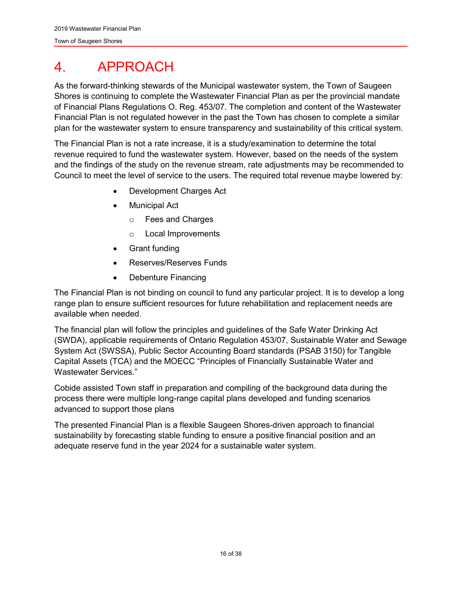#### <span id="page-16-0"></span>APPROACH  $\mathbf 4$

As the forward-thinking stewards of the Municipal wastewater system, the Town of Saugeen Shores is continuing to complete the Wastewater Financial Plan as per the provincial mandate of Financial Plans Regulations O. Reg. 453/07. The completion and content of the Wastewater Financial Plan is not regulated however in the past the Town has chosen to complete a similar plan for the wastewater system to ensure transparency and sustainability of this critical system.

The Financial Plan is not a rate increase, it is a study/examination to determine the total revenue required to fund the wastewater system. However, based on the needs of the system and the findings of the study on the revenue stream, rate adjustments may be recommended to Council to meet the level of service to the users. The required total revenue maybe lowered by:

- Development Charges Act
- Municipal Act
	- o Fees and Charges
	- o Local Improvements
- Grant funding
- Reserves/Reserves Funds
- Debenture Financing

The Financial Plan is not binding on council to fund any particular project. It is to develop a long range plan to ensure sufficient resources for future rehabilitation and replacement needs are available when needed.

The financial plan will follow the principles and guidelines of the Safe Water Drinking Act (SWDA), applicable requirements of Ontario Regulation 453/07, Sustainable Water and Sewage System Act (SWSSA), Public Sector Accounting Board standards (PSAB 3150) for Tangible Capital Assets (TCA) and the MOECC "Principles of Financially Sustainable Water and Wastewater Services."

Cobide assisted Town staff in preparation and compiling of the background data during the process there were multiple long-range capital plans developed and funding scenarios advanced to support those plans

The presented Financial Plan is a flexible Saugeen Shores-driven approach to financial sustainability by forecasting stable funding to ensure a positive financial position and an adequate reserve fund in the year 2024 for a sustainable water system.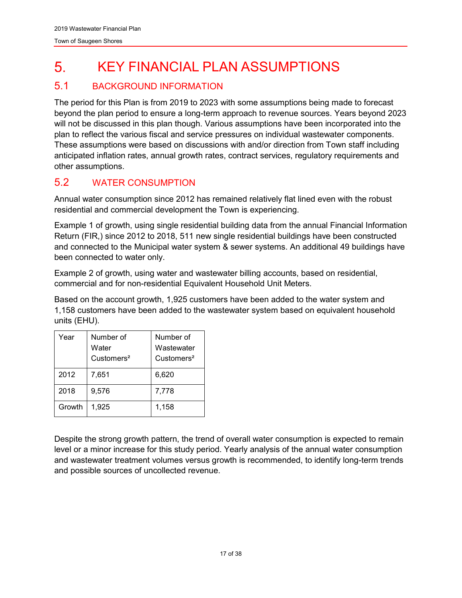#### <span id="page-17-0"></span>KEY FINANCIAL PLAN ASSUMPTIONS 5.

## <span id="page-17-1"></span>5.1 BACKGROUND INFORMATION

The period for this Plan is from 2019 to 2023 with some assumptions being made to forecast beyond the plan period to ensure a long-term approach to revenue sources. Years beyond 2023 will not be discussed in this plan though. Various assumptions have been incorporated into the plan to reflect the various fiscal and service pressures on individual wastewater components. These assumptions were based on discussions with and/or direction from Town staff including anticipated inflation rates, annual growth rates, contract services, regulatory requirements and other assumptions.

## <span id="page-17-2"></span>5.2 WATER CONSUMPTION

Annual water consumption since 2012 has remained relatively flat lined even with the robust residential and commercial development the Town is experiencing.

Example 1 of growth, using single residential building data from the annual Financial Information Return (FIR,) since 2012 to 2018, 511 new single residential buildings have been constructed and connected to the Municipal water system & sewer systems. An additional 49 buildings have been connected to water only.

Example 2 of growth, using water and wastewater billing accounts, based on residential, commercial and for non-residential Equivalent Household Unit Meters.

Based on the account growth, 1,925 customers have been added to the water system and 1,158 customers have been added to the wastewater system based on equivalent household units (EHU).

| Year   | Number of<br>Water<br>Customers <sup>2</sup> | Number of<br>Wastewater<br>Customers <sup>2</sup> |
|--------|----------------------------------------------|---------------------------------------------------|
| 2012   | 7,651                                        | 6,620                                             |
| 2018   | 9,576                                        | 7,778                                             |
| Growth | 1.925                                        | 1,158                                             |

Despite the strong growth pattern, the trend of overall water consumption is expected to remain level or a minor increase for this study period. Yearly analysis of the annual water consumption and wastewater treatment volumes versus growth is recommended, to identify long-term trends and possible sources of uncollected revenue.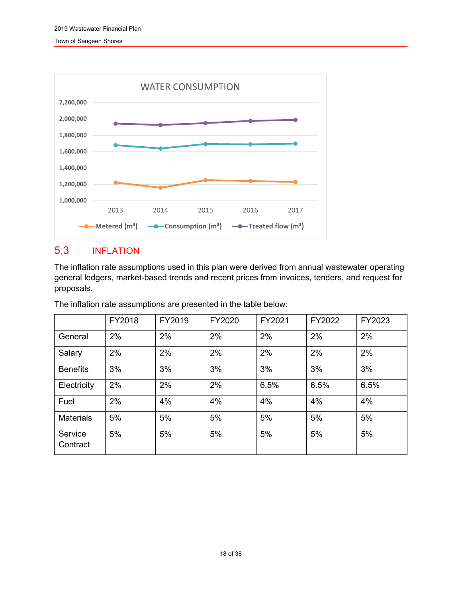

## <span id="page-18-0"></span>5.3 INFLATION

The inflation rate assumptions used in this plan were derived from annual wastewater operating general ledgers, market-based trends and recent prices from invoices, tenders, and request for proposals.

The inflation rate assumptions are presented in the table below:

|                     | FY2018 | FY2019 | FY2020 | FY2021 | FY2022 | FY2023 |
|---------------------|--------|--------|--------|--------|--------|--------|
| General             | 2%     | 2%     | 2%     | 2%     | 2%     | 2%     |
| Salary              | 2%     | 2%     | 2%     | 2%     | 2%     | 2%     |
| <b>Benefits</b>     | 3%     | 3%     | 3%     | 3%     | 3%     | 3%     |
| Electricity         | 2%     | 2%     | 2%     | 6.5%   | 6.5%   | 6.5%   |
| Fuel                | 2%     | 4%     | 4%     | 4%     | 4%     | 4%     |
| <b>Materials</b>    | 5%     | 5%     | 5%     | 5%     | 5%     | 5%     |
| Service<br>Contract | 5%     | 5%     | 5%     | 5%     | 5%     | 5%     |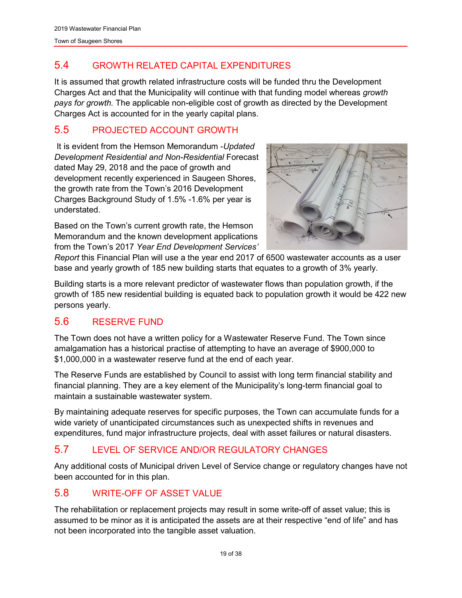## <span id="page-19-0"></span>5.4 GROWTH RELATED CAPITAL EXPENDITURES

It is assumed that growth related infrastructure costs will be funded thru the Development Charges Act and that the Municipality will continue with that funding model whereas *growth pays for growth.* The applicable non-eligible cost of growth as directed by the Development Charges Act is accounted for in the yearly capital plans.

## <span id="page-19-1"></span>5.5 PROJECTED ACCOUNT GROWTH

It is evident from the Hemson Memorandum -*Updated Development Residential and Non-Residential* Forecast dated May 29, 2018 and the pace of growth and development recently experienced in Saugeen Shores, the growth rate from the Town's 2016 Development Charges Background Study of 1.5% -1.6% per year is understated.

Based on the Town's current growth rate, the Hemson Memorandum and the known development applications from the Town's 2017 *Year End Development Services'* 



*Report* this Financial Plan will use a the year end 2017 of 6500 wastewater accounts as a user base and yearly growth of 185 new building starts that equates to a growth of 3% yearly.

Building starts is a more relevant predictor of wastewater flows than population growth, if the growth of 185 new residential building is equated back to population growth it would be 422 new persons yearly.

## <span id="page-19-2"></span>5.6 RESERVE FUND

The Town does not have a written policy for a Wastewater Reserve Fund. The Town since amalgamation has a historical practise of attempting to have an average of \$900,000 to \$1,000,000 in a wastewater reserve fund at the end of each year.

The Reserve Funds are established by Council to assist with long term financial stability and financial planning. They are a key element of the Municipality's long-term financial goal to maintain a sustainable wastewater system.

By maintaining adequate reserves for specific purposes, the Town can accumulate funds for a wide variety of unanticipated circumstances such as unexpected shifts in revenues and expenditures, fund major infrastructure projects, deal with asset failures or natural disasters.

## <span id="page-19-3"></span>5.7 LEVEL OF SERVICE AND/OR REGULATORY CHANGES

Any additional costs of Municipal driven Level of Service change or regulatory changes have not been accounted for in this plan.

## <span id="page-19-4"></span>5.8 WRITE-OFF OF ASSET VALUE

The rehabilitation or replacement projects may result in some write-off of asset value; this is assumed to be minor as it is anticipated the assets are at their respective "end of life" and has not been incorporated into the tangible asset valuation.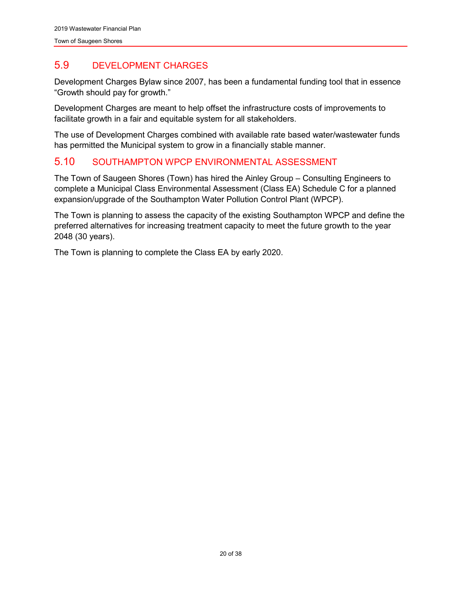## <span id="page-20-0"></span>5.9 DEVELOPMENT CHARGES

Development Charges Bylaw since 2007, has been a fundamental funding tool that in essence "Growth should pay for growth."

Development Charges are meant to help offset the infrastructure costs of improvements to facilitate growth in a fair and equitable system for all stakeholders.

The use of Development Charges combined with available rate based water/wastewater funds has permitted the Municipal system to grow in a financially stable manner.

#### <span id="page-20-1"></span>5.10 SOUTHAMPTON WPCP ENVIRONMENTAL ASSESSMENT

The Town of Saugeen Shores (Town) has hired the Ainley Group – Consulting Engineers to complete a Municipal Class Environmental Assessment (Class EA) Schedule C for a planned expansion/upgrade of the Southampton Water Pollution Control Plant (WPCP).

The Town is planning to assess the capacity of the existing Southampton WPCP and define the preferred alternatives for increasing treatment capacity to meet the future growth to the year 2048 (30 years).

The Town is planning to complete the Class EA by early 2020.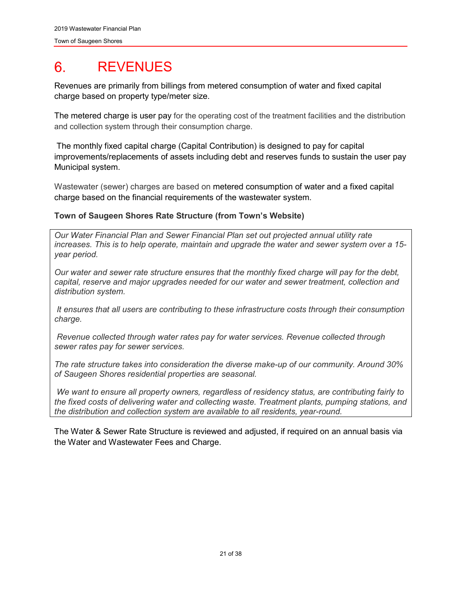#### <span id="page-21-0"></span>**REVENUES** 6.

Revenues are primarily from billings from metered consumption of water and fixed capital charge based on property type/meter size.

The metered charge is user pay for the operating cost of the treatment facilities and the distribution and collection system through their consumption charge.

The monthly fixed capital charge (Capital Contribution) is designed to pay for capital improvements/replacements of assets including debt and reserves funds to sustain the user pay Municipal system.

Wastewater (sewer) charges are based on metered consumption of water and a fixed capital charge based on the financial requirements of the wastewater system.

#### **Town of Saugeen Shores Rate Structure (from Town's Website)**

*Our Water Financial Plan and Sewer Financial Plan set out projected annual utility rate increases. This is to help operate, maintain and upgrade the water and sewer system over a 15 year period.*

*Our water and sewer rate structure ensures that the monthly fixed charge will pay for the debt, capital, reserve and major upgrades needed for our water and sewer treatment, collection and distribution system.*

*It ensures that all users are contributing to these infrastructure costs through their consumption charge.*

*Revenue collected through water rates pay for water services. Revenue collected through sewer rates pay for sewer services.*

*The rate structure takes into consideration the diverse make-up of our community. Around 30% of Saugeen Shores residential properties are seasonal.*

*We want to ensure all property owners, regardless of residency status, are contributing fairly to the fixed costs of delivering water and collecting waste. Treatment plants, pumping stations, and the distribution and collection system are available to all residents, year-round.*

The Water & Sewer Rate Structure is reviewed and adjusted, if required on an annual basis via the Water and Wastewater Fees and Charge.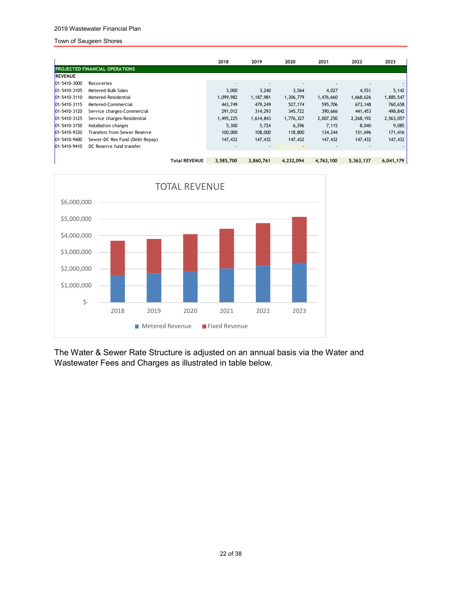#### 2019 Wastewater Financial Plan

#### Town of Saugeen Shores

|                     |                                       | 2018      | 2019      | 2020      | 2021      | 2022      | 2023      |
|---------------------|---------------------------------------|-----------|-----------|-----------|-----------|-----------|-----------|
|                     | <b>PROJECTED FINANCIAL OPERATIONS</b> |           |           |           |           |           |           |
| <b>REVENUE</b>      |                                       |           |           |           |           |           |           |
| 01-5410-3000        | Recoveries                            |           |           |           |           |           |           |
| 01-5410-3105        | Metered-Bulk Sales                    | 3,000     | 3,240     | 3,564     | 4,027     | 4,551     | 5,142     |
| $101 - 5410 - 3110$ | Metered-Residential                   | 1,099,982 | 1,187,981 | 1,306,779 | 1,476,660 | 1,668,626 | 1,885,547 |
| $101 - 5410 - 3115$ | Metered-Commercial                    | 443,749   | 479,249   | 527,174   | 595,706   | 673,148   | 760,658   |
| $101 - 5410 - 3120$ | Service charges-Commercial            | 291,012   | 314,293   | 345,722   | 390,666   | 441,453   | 498,842   |
| $101 - 5410 - 3125$ | Service charges-Residential           | 1,495,225 | 1,614,843 | 1,776,327 | 2,007,250 | 2,268,192 | 2,563,057 |
| $101 - 5410 - 3150$ | Installation charges                  | 5,300     | 5,724     | 6,296     | 7,115     | 8,040     | 9,085     |
| 01-5410-9320        | <b>Transfers from Sewer Reserve</b>   | 100,000   | 108,000   | 118,800   | 134,244   | 151,696   | 171,416   |
| 01-5410-9400        | Sewer-DC Res Fund (Debt Repay)        | 147,432   | 147,432   | 147,432   | 147,432   | 147,432   | 147,432   |
| 01-5410-9410        | DC Reserve fund transfer              |           |           |           |           |           |           |
|                     |                                       |           |           |           |           |           |           |
|                     | <b>Total REVENUE</b>                  | 3,585,700 | 3,860,761 | 4,232,094 | 4,763,100 | 5,363,137 | 6,041,179 |



The Water & Sewer Rate Structure is adjusted on an annual basis via the Water and Wastewater Fees and Charges as illustrated in table below.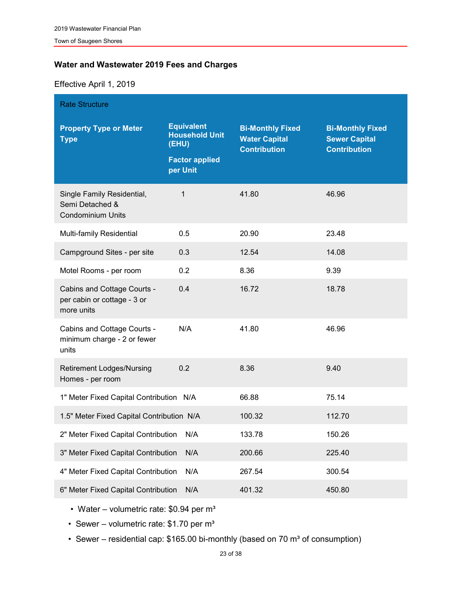#### **Water and Wastewater 2019 Fees and Charges**

#### Effective April 1, 2019

| <b>Rate Structure</b>                                                     |                                                                                          |                                                                        |                                                                        |  |  |  |  |
|---------------------------------------------------------------------------|------------------------------------------------------------------------------------------|------------------------------------------------------------------------|------------------------------------------------------------------------|--|--|--|--|
| <b>Property Type or Meter</b><br><b>Type</b>                              | <b>Equivalent</b><br><b>Household Unit</b><br>(EHU)<br><b>Factor applied</b><br>per Unit | <b>Bi-Monthly Fixed</b><br><b>Water Capital</b><br><b>Contribution</b> | <b>Bi-Monthly Fixed</b><br><b>Sewer Capital</b><br><b>Contribution</b> |  |  |  |  |
| Single Family Residential,<br>Semi Detached &<br><b>Condominium Units</b> | 1                                                                                        | 41.80                                                                  | 46.96                                                                  |  |  |  |  |
| Multi-family Residential                                                  | 0.5                                                                                      | 20.90                                                                  | 23.48                                                                  |  |  |  |  |
| Campground Sites - per site                                               | 0.3                                                                                      | 12.54                                                                  | 14.08                                                                  |  |  |  |  |
| Motel Rooms - per room                                                    | 0.2                                                                                      | 8.36                                                                   | 9.39                                                                   |  |  |  |  |
| Cabins and Cottage Courts -<br>per cabin or cottage - 3 or<br>more units  | 0.4                                                                                      | 16.72                                                                  | 18.78                                                                  |  |  |  |  |
| Cabins and Cottage Courts -<br>minimum charge - 2 or fewer<br>units       | N/A                                                                                      | 41.80                                                                  | 46.96                                                                  |  |  |  |  |
| <b>Retirement Lodges/Nursing</b><br>Homes - per room                      | 0.2                                                                                      | 8.36                                                                   | 9.40                                                                   |  |  |  |  |
| 1" Meter Fixed Capital Contribution N/A                                   |                                                                                          | 66.88                                                                  | 75.14                                                                  |  |  |  |  |
| 1.5" Meter Fixed Capital Contribution N/A                                 |                                                                                          | 100.32                                                                 | 112.70                                                                 |  |  |  |  |
| 2" Meter Fixed Capital Contribution N/A                                   |                                                                                          | 133.78                                                                 | 150.26                                                                 |  |  |  |  |
| 3" Meter Fixed Capital Contribution                                       | N/A                                                                                      | 200.66                                                                 | 225.40                                                                 |  |  |  |  |
| 4" Meter Fixed Capital Contribution                                       | N/A                                                                                      | 267.54                                                                 | 300.54                                                                 |  |  |  |  |
| 6" Meter Fixed Capital Contribution                                       | N/A                                                                                      | 401.32                                                                 | 450.80                                                                 |  |  |  |  |

• Water – volumetric rate:  $$0.94$  per m<sup>3</sup>

• Sewer – volumetric rate:  $$1.70$  per m<sup>3</sup>

• Sewer – residential cap:  $$165.00$  bi-monthly (based on 70 m<sup>3</sup> of consumption)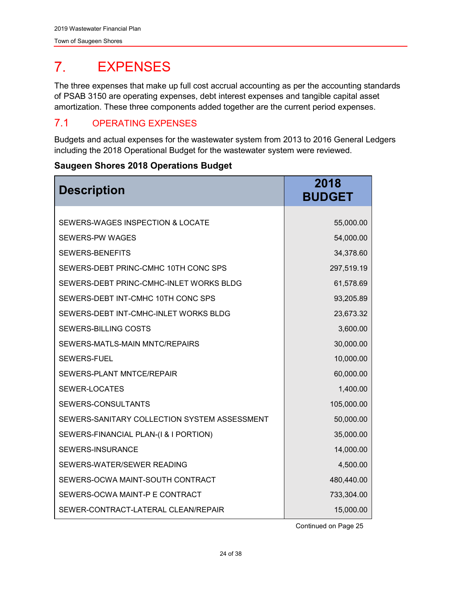#### <span id="page-24-0"></span> $7<sub>1</sub>$ EXPENSES

The three expenses that make up full cost accrual accounting as per the accounting standards of PSAB 3150 are operating expenses, debt interest expenses and tangible capital asset amortization. These three components added together are the current period expenses.

## <span id="page-24-1"></span>7.1 OPERATING EXPENSES

Budgets and actual expenses for the wastewater system from 2013 to 2016 General Ledgers including the 2018 Operational Budget for the wastewater system were reviewed.

#### **Saugeen Shores 2018 Operations Budget**

| <b>Description</b>                           | 2018<br><b>BUDGET</b> |
|----------------------------------------------|-----------------------|
| SEWERS-WAGES INSPECTION & LOCATE             | 55,000.00             |
| <b>SEWERS-PW WAGES</b>                       | 54,000.00             |
|                                              |                       |
| <b>SEWERS-BENEFITS</b>                       | 34,378.60             |
| SEWERS-DEBT PRINC-CMHC 10TH CONC SPS         | 297,519.19            |
| SEWERS-DEBT PRINC-CMHC-INLET WORKS BLDG      | 61,578.69             |
| SEWERS-DEBT INT-CMHC 10TH CONC SPS           | 93,205.89             |
| SEWERS-DEBT INT-CMHC-INLET WORKS BLDG        | 23,673.32             |
| SEWERS-BILLING COSTS                         | 3,600.00              |
| SEWERS-MATLS-MAIN MNTC/REPAIRS               | 30,000.00             |
| <b>SEWERS-FUEL</b>                           | 10,000.00             |
| SEWERS-PLANT MNTCE/REPAIR                    | 60,000.00             |
| SEWER-LOCATES                                | 1,400.00              |
| SEWERS-CONSULTANTS                           | 105,000.00            |
| SEWERS-SANITARY COLLECTION SYSTEM ASSESSMENT | 50,000.00             |
| SEWERS-FINANCIAL PLAN-(I & I PORTION)        | 35,000.00             |
| <b>SEWERS-INSURANCE</b>                      | 14,000.00             |
| SEWERS-WATER/SEWER READING                   | 4,500.00              |
| SEWERS-OCWA MAINT-SOUTH CONTRACT             | 480,440.00            |
| SEWERS-OCWA MAINT-P E CONTRACT               | 733,304.00            |
| SEWER-CONTRACT-LATERAL CLEAN/REPAIR          | 15,000.00             |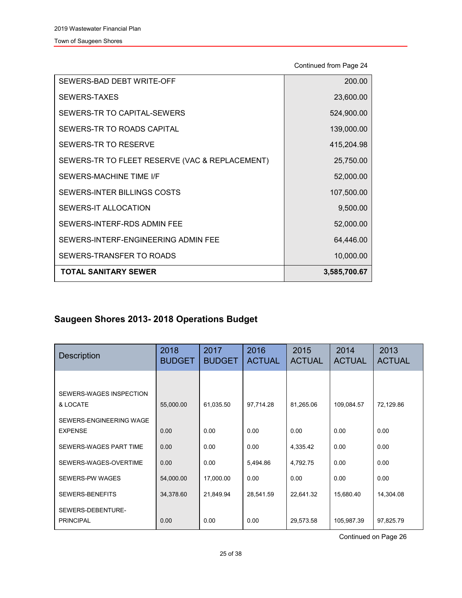Continued from Page 24

| <b>TOTAL SANITARY SEWER</b>                    | 3,585,700.67 |
|------------------------------------------------|--------------|
| SEWERS-TRANSFER TO ROADS                       | 10,000.00    |
| SEWERS-INTERF-ENGINEERING ADMIN FEE            | 64,446.00    |
| SEWERS-INTERF-RDS ADMIN FEE                    | 52,000.00    |
| SEWERS-IT ALLOCATION                           | 9,500.00     |
| SEWERS-INTER BILLINGS COSTS                    | 107,500.00   |
| SEWERS-MACHINE TIME I/F                        | 52,000.00    |
| SEWERS-TR TO FLEET RESERVE (VAC & REPLACEMENT) | 25,750.00    |
| SEWERS-TR TO RESERVE                           | 415,204.98   |
| SEWERS-TR TO ROADS CAPITAL                     | 139,000.00   |
| SEWERS-TR TO CAPITAL-SEWERS                    | 524,900.00   |
| SEWERS-TAXES                                   | 23,600.00    |
| SEWERS-BAD DEBT WRITE-OFF                      | 200.00       |

## **Saugeen Shores 2013- 2018 Operations Budget**

| <b>Description</b>                        | 2018<br><b>BUDGET</b> | 2017<br><b>BUDGET</b> | 2016<br><b>ACTUAL</b> | 2015<br><b>ACTUAL</b> | 2014<br><b>ACTUAL</b> | 2013<br><b>ACTUAL</b> |
|-------------------------------------------|-----------------------|-----------------------|-----------------------|-----------------------|-----------------------|-----------------------|
|                                           |                       |                       |                       |                       |                       |                       |
| SEWERS-WAGES INSPECTION<br>& LOCATE       | 55,000.00             | 61,035.50             | 97,714.28             | 81,265.06             | 109,084.57            | 72,129.86             |
| SEWERS-ENGINEERING WAGE<br><b>EXPENSE</b> | 0.00                  | 0.00                  | 0.00                  | 0.00                  | 0.00                  | 0.00                  |
| SEWERS-WAGES PART TIME                    | 0.00                  | 0.00                  | 0.00                  | 4,335.42              | 0.00                  | 0.00                  |
| SEWERS-WAGES-OVERTIME                     | 0.00                  | 0.00                  | 5,494.86              | 4,792.75              | 0.00                  | 0.00                  |
| SEWERS-PW WAGES                           | 54,000.00             | 17,000.00             | 0.00                  | 0.00                  | 0.00                  | 0.00                  |
| SEWERS-BENEFITS                           | 34,378.60             | 21,849.94             | 28,541.59             | 22,641.32             | 15,680.40             | 14,304.08             |
| SEWERS-DEBENTURE-<br><b>PRINCIPAL</b>     | 0.00                  | 0.00                  | 0.00                  | 29,573.58             | 105,987.39            | 97,825.79             |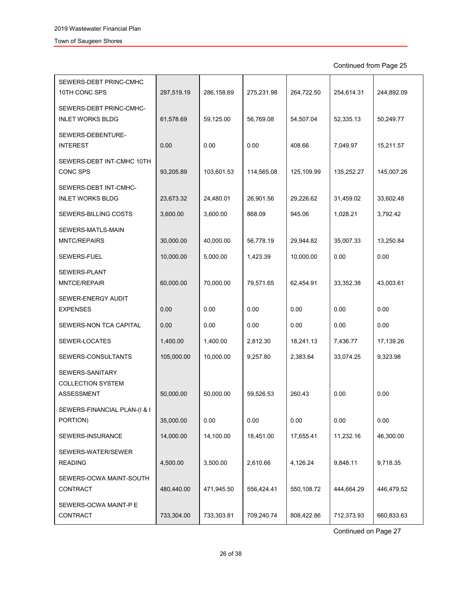Continued from Page 25

| SEWERS-DEBT PRINC-CMHC<br>10TH CONC SPS                   | 297,519.19 | 286,158.69 | 275,231.98 | 264,722.50 | 254,614.31 | 244,892.09 |
|-----------------------------------------------------------|------------|------------|------------|------------|------------|------------|
| SEWERS-DEBT PRINC-CMHC-<br><b>INLET WORKS BLDG</b>        | 61,578.69  | 59,125.00  | 56,769.08  | 54,507.04  | 52,335.13  | 50,249.77  |
| SEWERS-DEBENTURE-<br><b>INTEREST</b>                      | 0.00       | 0.00       | 0.00       | 408.66     | 7,049.97   | 15,211.57  |
| SEWERS-DEBT INT-CMHC 10TH<br><b>CONC SPS</b>              | 93,205.89  | 103,601.53 | 114,565.08 | 125,109.99 | 135,252.27 | 145,007.26 |
| SEWERS-DEBT INT-CMHC-<br><b>INLET WORKS BLDG</b>          | 23,673.32  | 24,480.01  | 26,901.56  | 29,226.62  | 31,459.02  | 33,602.48  |
| SEWERS-BILLING COSTS                                      | 3,600.00   | 3,600.00   | 868.09     | 945.06     | 1,028.21   | 3,792.42   |
| SEWERS-MATLS-MAIN<br><b>MNTC/REPAIRS</b>                  | 30,000.00  | 40,000.00  | 56,778.19  | 29,944.82  | 35,007.33  | 13,250.84  |
| SEWERS-FUEL                                               | 10,000.00  | 5,000.00   | 1,423.39   | 10,000.00  | 0.00       | 0.00       |
| SEWERS-PLANT<br>MNTCE/REPAIR                              | 60,000.00  | 70,000.00  | 79,571.65  | 62,454.91  | 33,352.38  | 43,003.61  |
| SEWER-ENERGY AUDIT<br><b>EXPENSES</b>                     | 0.00       | 0.00       | 0.00       | 0.00       | 0.00       | 0.00       |
| SEWERS-NON TCA CAPITAL                                    | 0.00       | 0.00       | 0.00       | 0.00       | 0.00       | 0.00       |
| SEWER-LOCATES                                             | 1,400.00   | 1,400.00   | 2,812.30   | 18,241.13  | 7,436.77   | 17,139.26  |
| SEWERS-CONSULTANTS                                        | 105,000.00 | 10,000.00  | 9,257.80   | 2,383.64   | 33,074.25  | 9,323.98   |
| SEWERS-SANITARY<br><b>COLLECTION SYSTEM</b><br>ASSESSMENT | 50,000.00  | 50,000.00  | 59,526.53  | 260.43     | 0.00       | 0.00       |
| SEWERS-FINANCIAL PLAN-(I & I<br>PORTION)                  | 35,000.00  | 0.00       | 0.00       | 0.00       | 0.00       | 0.00       |
| SEWERS-INSURANCE                                          | 14,000.00  | 14,100.00  | 18,451.00  | 17,655.41  | 11,232.16  | 46,300.00  |
| SEWERS-WATER/SEWER<br><b>READING</b>                      | 4,500.00   | 3,500.00   | 2,610.66   | 4,126.24   | 9,848.11   | 9,718.35   |
| SEWERS-OCWA MAINT-SOUTH<br>CONTRACT                       | 480,440.00 | 471,945.50 | 556,424.41 | 550,108.72 | 444,664.29 | 446,479.52 |
| SEWERS-OCWA MAINT-P E<br>CONTRACT                         | 733,304.00 | 733,303.81 | 709,240.74 | 808,422.86 | 712,373.93 | 660,833.63 |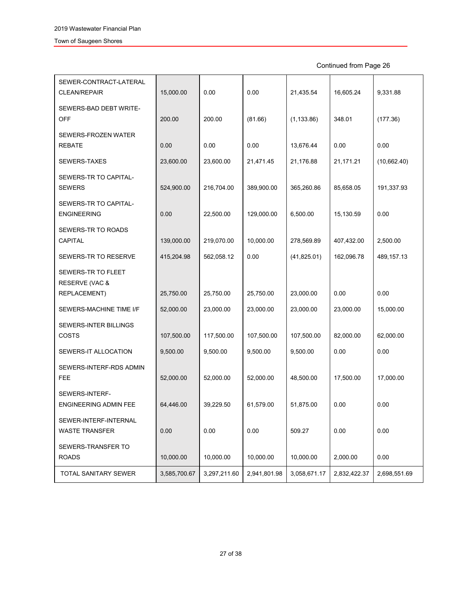Continued from Page 26

| SEWER-CONTRACT-LATERAL<br><b>CLEAN/REPAIR</b>  | 15,000.00    | 0.00         | 0.00         | 21,435.54    | 16,605.24    | 9,331.88     |
|------------------------------------------------|--------------|--------------|--------------|--------------|--------------|--------------|
| SEWERS-BAD DEBT WRITE-<br><b>OFF</b>           | 200.00       | 200.00       | (81.66)      | (1, 133.86)  | 348.01       | (177.36)     |
| SEWERS-FROZEN WATER                            |              |              |              |              |              |              |
| <b>REBATE</b>                                  | 0.00         | 0.00         | 0.00         | 13,676.44    | 0.00         | 0.00         |
| SEWERS-TAXES                                   | 23,600.00    | 23,600.00    | 21,471.45    | 21,176.88    | 21,171.21    | (10,662.40)  |
| SEWERS-TR TO CAPITAL-<br><b>SEWERS</b>         | 524,900.00   | 216,704.00   | 389,900.00   | 365,260.86   | 85,658.05    | 191,337.93   |
| SEWERS-TR TO CAPITAL-<br><b>ENGINEERING</b>    | 0.00         | 22,500.00    | 129,000.00   | 6,500.00     | 15,130.59    | 0.00         |
| SEWERS-TR TO ROADS                             |              |              |              |              |              |              |
| CAPITAL                                        | 139,000.00   | 219,070.00   | 10,000.00    | 278,569.89   | 407,432.00   | 2,500.00     |
| SEWERS-TR TO RESERVE                           | 415,204.98   | 562,058.12   | 0.00         | (41,825.01)  | 162,096.78   | 489, 157. 13 |
| SEWERS-TR TO FLEET<br>RESERVE (VAC &           |              |              |              |              |              |              |
| REPLACEMENT)                                   | 25,750.00    | 25,750.00    | 25,750.00    | 23,000.00    | 0.00         | 0.00         |
| SEWERS-MACHINE TIME I/F                        | 52,000.00    | 23,000.00    | 23,000.00    | 23,000.00    | 23,000.00    | 15,000.00    |
| <b>SEWERS-INTER BILLINGS</b><br>COSTS          | 107,500.00   | 117,500.00   | 107,500.00   | 107,500.00   | 82,000.00    | 62,000.00    |
| SEWERS-IT ALLOCATION                           | 9,500.00     | 9,500.00     | 9,500.00     | 9,500.00     | 0.00         | 0.00         |
| SEWERS-INTERF-RDS ADMIN<br><b>FEE</b>          | 52,000.00    | 52,000.00    | 52,000.00    | 48,500.00    | 17,500.00    | 17,000.00    |
| SEWERS-INTERF-<br><b>ENGINEERING ADMIN FEE</b> | 64,446.00    | 39,229.50    | 61,579.00    | 51,875.00    | 0.00         | 0.00         |
| SEWER-INTERF-INTERNAL<br><b>WASTE TRANSFER</b> | 0.00         | 0.00         | 0.00         | 509.27       | 0.00         | 0.00         |
| SEWERS-TRANSFER TO<br><b>ROADS</b>             | 10,000.00    | 10,000.00    | 10,000.00    | 10,000.00    | 2,000.00     | 0.00         |
| TOTAL SANITARY SEWER                           | 3,585,700.67 | 3,297,211.60 | 2,941,801.98 | 3,058,671.17 | 2,832,422.37 | 2,698,551.69 |
|                                                |              |              |              |              |              |              |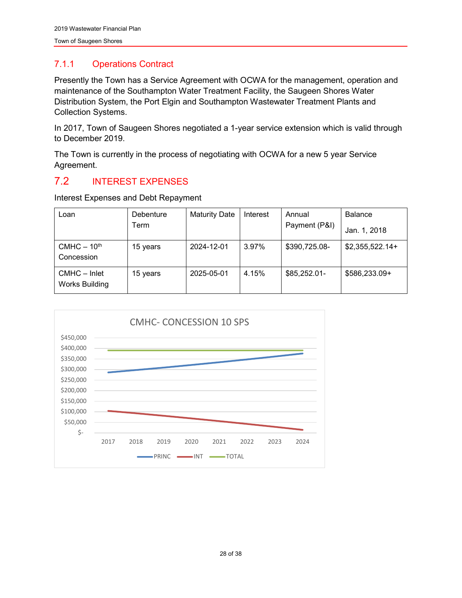#### <span id="page-28-0"></span>7.1.1 Operations Contract

Presently the Town has a Service Agreement with OCWA for the management, operation and maintenance of the Southampton Water Treatment Facility, the Saugeen Shores Water Distribution System, the Port Elgin and Southampton Wastewater Treatment Plants and Collection Systems.

In 2017, Town of Saugeen Shores negotiated a 1-year service extension which is valid through to December 2019.

The Town is currently in the process of negotiating with OCWA for a new 5 year Service Agreement.

## <span id="page-28-1"></span>7.2 INTEREST EXPENSES

Interest Expenses and Debt Repayment

| Loan                                  | Debenture | <b>Maturity Date</b> | Interest | Annual        | <b>Balance</b>   |  |
|---------------------------------------|-----------|----------------------|----------|---------------|------------------|--|
|                                       | Term      |                      |          | Payment (P&I) | Jan. 1, 2018     |  |
| $CMHC - 10th$<br>Concession           | 15 years  | 2024-12-01           | 3.97%    | \$390,725.08- | $$2,355,522.14+$ |  |
| CMHC - Inlet<br><b>Works Building</b> | 15 years  | 2025-05-01           | 4.15%    | \$85,252.01-  | \$586,233.09+    |  |

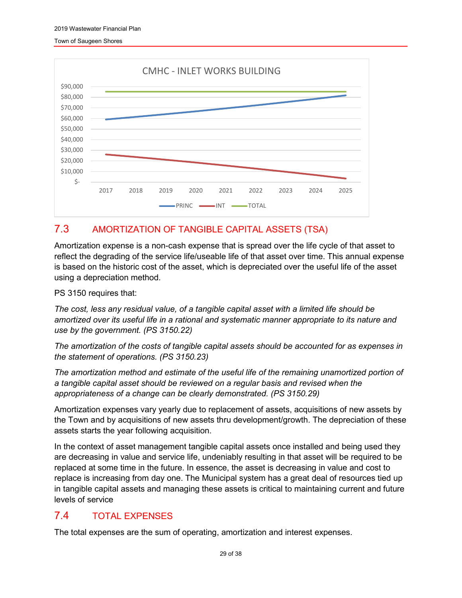

## <span id="page-29-0"></span>7.3 AMORTIZATION OF TANGIBLE CAPITAL ASSETS (TSA)

Amortization expense is a non-cash expense that is spread over the life cycle of that asset to reflect the degrading of the service life/useable life of that asset over time. This annual expense is based on the historic cost of the asset, which is depreciated over the useful life of the asset using a depreciation method.

PS 3150 requires that:

*The cost, less any residual value, of a tangible capital asset with a limited life should be amortized over its useful life in a rational and systematic manner appropriate to its nature and use by the government. (PS 3150.22)* 

*The amortization of the costs of tangible capital assets should be accounted for as expenses in the statement of operations. (PS 3150.23)* 

*The amortization method and estimate of the useful life of the remaining unamortized portion of a tangible capital asset should be reviewed on a regular basis and revised when the appropriateness of a change can be clearly demonstrated. (PS 3150.29)*

Amortization expenses vary yearly due to replacement of assets, acquisitions of new assets by the Town and by acquisitions of new assets thru development/growth. The depreciation of these assets starts the year following acquisition.

In the context of asset management tangible capital assets once installed and being used they are decreasing in value and service life, undeniably resulting in that asset will be required to be replaced at some time in the future. In essence, the asset is decreasing in value and cost to replace is increasing from day one. The Municipal system has a great deal of resources tied up in tangible capital assets and managing these assets is critical to maintaining current and future levels of service

## <span id="page-29-1"></span>7.4 TOTAL EXPENSES

The total expenses are the sum of operating, amortization and interest expenses.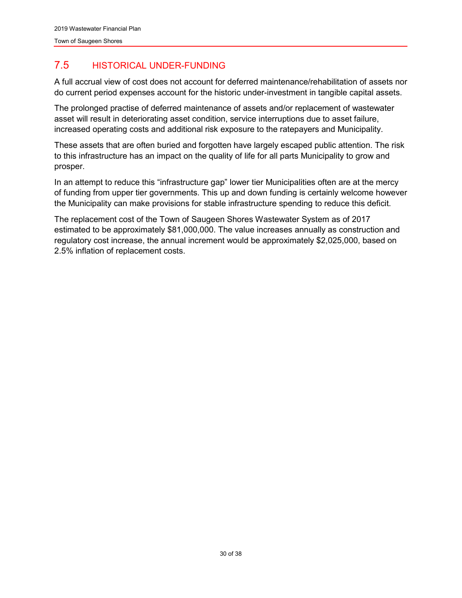## <span id="page-30-0"></span>7.5 HISTORICAL UNDER-FUNDING

A full accrual view of cost does not account for deferred maintenance/rehabilitation of assets nor do current period expenses account for the historic under-investment in tangible capital assets.

The prolonged practise of deferred maintenance of assets and/or replacement of wastewater asset will result in deteriorating asset condition, service interruptions due to asset failure, increased operating costs and additional risk exposure to the ratepayers and Municipality.

These assets that are often buried and forgotten have largely escaped public attention. The risk to this infrastructure has an impact on the quality of life for all parts Municipality to grow and prosper.

In an attempt to reduce this "infrastructure gap" lower tier Municipalities often are at the mercy of funding from upper tier governments. This up and down funding is certainly welcome however the Municipality can make provisions for stable infrastructure spending to reduce this deficit.

The replacement cost of the Town of Saugeen Shores Wastewater System as of 2017 estimated to be approximately \$81,000,000. The value increases annually as construction and regulatory cost increase, the annual increment would be approximately \$2,025,000, based on 2.5% inflation of replacement costs.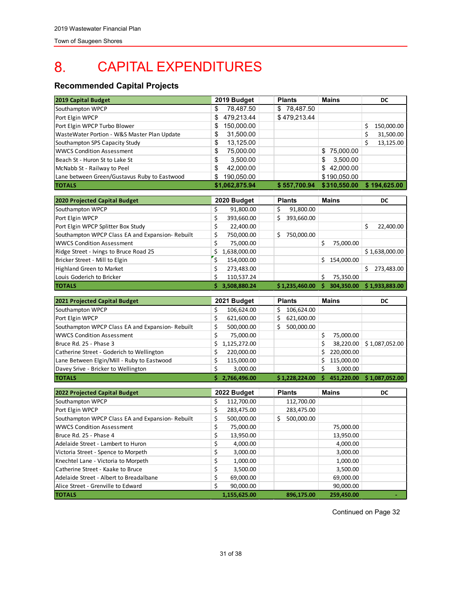#### <span id="page-31-0"></span>CAPITAL EXPENDITURES 8.

#### **Recommended Capital Projects**

| 2019 Capital Budget                              | 2019 Budget         | <b>Plants</b>          | Mains             | DC                |
|--------------------------------------------------|---------------------|------------------------|-------------------|-------------------|
| Southampton WPCP                                 | \$<br>78,487.50     | \$78,487.50            |                   |                   |
| Port Elgin WPCP                                  | \$<br>479,213.44    | \$479,213.44           |                   |                   |
| Port Elgin WPCP Turbo Blower                     | \$<br>150,000.00    |                        |                   | 150,000.00<br>\$  |
| WasteWater Portion - W&S Master Plan Update      | \$<br>31,500.00     |                        |                   | \$<br>31,500.00   |
| Southampton SPS Capacity Study                   | \$<br>13,125.00     |                        |                   | \$<br>13,125.00   |
| <b>WWCS Condition Assessment</b>                 | \$<br>75,000.00     |                        | \$75,000.00       |                   |
| Beach St - Huron St to Lake St                   | \$<br>3,500.00      |                        | \$<br>3,500.00    |                   |
| McNabb St - Railway to Peel                      | \$<br>42,000.00     |                        | \$42,000.00       |                   |
| Lane between Green/Gustavus Ruby to Eastwood     | \$<br>190,050.00    |                        | \$190,050.00      |                   |
| <b>TOTALS</b>                                    | \$1,062,875.94      | \$557,700.94           | \$310,550.00      | \$194,625.00      |
|                                                  |                     |                        |                   |                   |
| 2020 Projected Capital Budget                    | 2020 Budget         | <b>Plants</b>          | <b>Mains</b>      | DC                |
| Southampton WPCP                                 | \$<br>91,800.00     | \$<br>91,800.00        |                   |                   |
| Port Elgin WPCP                                  | \$<br>393,660.00    | \$<br>393,660.00       |                   |                   |
| Port Elgin WPCP Splitter Box Study               | \$<br>22,400.00     |                        |                   | \$<br>22,400.00   |
| Southampton WPCP Class EA and Expansion- Rebuilt | \$<br>750,000.00    | 750,000.00<br>\$       |                   |                   |
| <b>WWCS Condition Assessment</b>                 | \$<br>75,000.00     |                        | \$<br>75,000.00   |                   |
| Ridge Street - Ivings to Bruce Road 25           | \$<br>1,638,000.00  |                        |                   | \$1,638,000.00    |
| Bricker Street - Mill to Elgin                   | \$<br>154,000.00    |                        | \$.<br>154,000.00 |                   |
| <b>Highland Green to Market</b>                  | \$<br>273,483.00    |                        |                   | \$.<br>273,483.00 |
| Louis Goderich to Bricker                        | \$<br>110,537.24    |                        | \$<br>75,350.00   |                   |
| <b>TOTALS</b>                                    | \$.<br>3,508,880.24 | \$1,235,460.00         | \$.<br>304,350.00 | \$1,933,883.00    |
|                                                  |                     |                        |                   |                   |
|                                                  |                     |                        |                   |                   |
| 2021 Projected Capital Budget                    | 2021 Budget         | <b>Plants</b>          | <b>Mains</b>      | DC                |
| Southampton WPCP                                 | \$<br>106,624.00    | \$<br>106,624.00       |                   |                   |
| Port Elgin WPCP                                  | \$<br>621,600.00    | \$<br>621,600.00<br>Ś. |                   |                   |
| Southampton WPCP Class EA and Expansion- Rebuilt | \$<br>500,000.00    | 500,000.00             |                   |                   |
| <b>WWCS Condition Assessment</b>                 | \$<br>75,000.00     |                        | \$<br>75,000.00   |                   |
| Bruce Rd. 25 - Phase 3                           | \$<br>1,125,272.00  |                        | \$<br>38,220.00   | \$1,087,052.00    |
| Catherine Street - Goderich to Wellington        | \$<br>220,000.00    |                        | \$<br>220,000.00  |                   |
| Lane Between Elgin/Mill - Ruby to Eastwood       | \$<br>115,000.00    |                        | \$<br>115,000.00  |                   |
| Davey Srive - Bricker to Wellington              | \$<br>3,000.00      |                        | \$<br>3,000.00    |                   |
| <b>TOTALS</b>                                    | \$2,766,496.00      | \$1,228,224.00         | \$451,220.00      | \$1,087,052.00    |
| 2022 Projected Capital Budget                    | 2022 Budget         | <b>Plants</b>          | <b>Mains</b>      | DC                |
| Southampton WPCP                                 | \$<br>112,700.00    | 112,700.00             |                   |                   |
| Port Elgin WPCP                                  | \$<br>283,475.00    | 283,475.00             |                   |                   |
| Southampton WPCP Class EA and Expansion-Rebuilt  | \$<br>500,000.00    | \$<br>500,000.00       |                   |                   |
| <b>WWCS Condition Assessment</b>                 | \$<br>75,000.00     |                        | 75,000.00         |                   |
| Bruce Rd. 25 - Phase 4                           | Ş<br>13,950.00      |                        | 13,950.00         |                   |
| Adelaide Street - Lambert to Huron               | \$<br>4,000.00      |                        | 4,000.00          |                   |
| Victoria Street - Spence to Morpeth              | \$<br>3,000.00      |                        | 3,000.00          |                   |
| Knechtel Lane - Victoria to Morpeth              | \$<br>1,000.00      |                        | 1,000.00          |                   |
| Catherine Street - Kaake to Bruce                | \$<br>3,500.00      |                        | 3,500.00          |                   |
| Adelaide Street - Albert to Breadalbane          | \$<br>69,000.00     |                        | 69,000.00         |                   |
| Alice Street - Grenville to Edward               | \$<br>90,000.00     |                        | 90,000.00         |                   |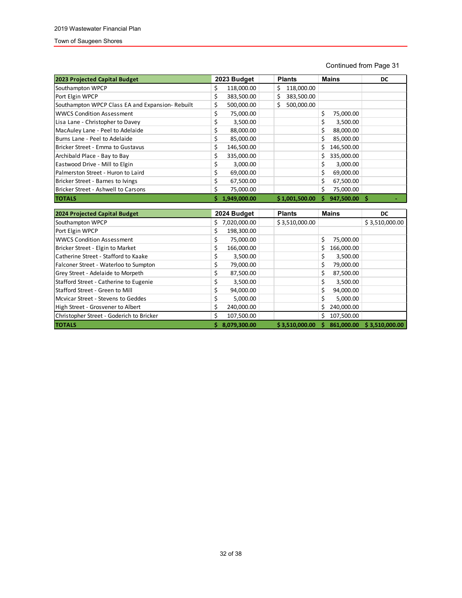#### Continued from Page 31

| 2023 Projected Capital Budget                   |    | 2023 Budget  | <b>Plants</b>   |    | <b>Mains</b> | DC |
|-------------------------------------------------|----|--------------|-----------------|----|--------------|----|
| Southampton WPCP                                | Ś  | 118,000.00   | 118,000.00<br>S |    |              |    |
| Port Elgin WPCP                                 | \$ | 383,500.00   | 383,500.00      |    |              |    |
| Southampton WPCP Class EA and Expansion-Rebuilt | \$ | 500,000.00   | 500,000.00      |    |              |    |
| <b>WWCS Condition Assessment</b>                | \$ | 75,000.00    |                 | \$ | 75,000.00    |    |
| Lisa Lane - Christopher to Davey                | \$ | 3,500.00     |                 |    | 3,500.00     |    |
| MacAuley Lane - Peel to Adelaide                | \$ | 88,000.00    |                 |    | 88,000.00    |    |
| Burns Lane - Peel to Adelaide                   | \$ | 85,000.00    |                 |    | 85,000.00    |    |
| Bricker Street - Emma to Gustavus               | \$ | 146,500.00   |                 | S. | 146,500.00   |    |
| Archibald Place - Bay to Bay                    | Ś  | 335,000.00   |                 |    | 335,000.00   |    |
| Eastwood Drive - Mill to Elgin                  | \$ | 3,000.00     |                 |    | 3,000.00     |    |
| Palmerston Street - Huron to Laird              | \$ | 69,000.00    |                 |    | 69,000.00    |    |
| Bricker Street - Barnes to Ivings               | Ś  | 67,500.00    |                 |    | 67,500.00    |    |
| Bricker Street - Ashwell to Carsons             | \$ | 75,000.00    |                 |    | 75,000.00    |    |
| <b>TOTALS</b>                                   |    | 1.949.000.00 | \$1,001,500.00  |    | 947,500.00   |    |

| 2024 Projected Capital Budget            |    | 2024 Budget  | <b>Plants</b>  |   | <b>Mains</b> | DC             |
|------------------------------------------|----|--------------|----------------|---|--------------|----------------|
| Southampton WPCP                         | S. | 7,020,000.00 | \$3,510,000.00 |   |              | \$3,510,000.00 |
| Port Elgin WPCP                          | \$ | 198,300.00   |                |   |              |                |
| <b>WWCS Condition Assessment</b>         |    | 75,000.00    |                | Ś | 75,000.00    |                |
| Bricker Street - Elgin to Market         |    | 166,000.00   |                |   | 166,000.00   |                |
| Catherine Street - Stafford to Kaake     | \$ | 3,500.00     |                |   | 3,500.00     |                |
| Falconer Street - Waterloo to Sumpton    |    | 79,000.00    |                |   | 79,000.00    |                |
| Grey Street - Adelaide to Morpeth        |    | 87,500.00    |                |   | 87,500.00    |                |
| Stafford Street - Catherine to Eugenie   |    | 3,500.00     |                |   | 3,500.00     |                |
| Stafford Street - Green to Mill          | Ś  | 94,000.00    |                |   | 94,000.00    |                |
| Mcvicar Street - Stevens to Geddes       |    | 5,000.00     |                |   | 5,000.00     |                |
| High Street - Grosvener to Albert        | \$ | 240,000.00   |                |   | 240,000.00   |                |
| Christopher Street - Goderich to Bricker | Ś  | 107,500.00   |                | s | 107,500.00   |                |
| <b>TOTALS</b>                            |    | 8.079.300.00 | \$3.510.000.00 |   | 861.000.00   | \$3,510,000.00 |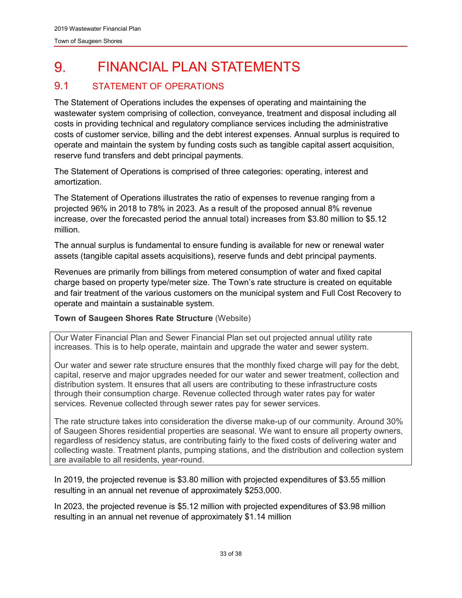#### <span id="page-33-0"></span>FINANCIAL PLAN STATEMENTS 9.

## <span id="page-33-1"></span>9.1 STATEMENT OF OPERATIONS

The Statement of Operations includes the expenses of operating and maintaining the wastewater system comprising of collection, conveyance, treatment and disposal including all costs in providing technical and regulatory compliance services including the administrative costs of customer service, billing and the debt interest expenses. Annual surplus is required to operate and maintain the system by funding costs such as tangible capital assert acquisition, reserve fund transfers and debt principal payments.

The Statement of Operations is comprised of three categories: operating, interest and amortization.

The Statement of Operations illustrates the ratio of expenses to revenue ranging from a projected 96% in 2018 to 78% in 2023. As a result of the proposed annual 8% revenue increase, over the forecasted period the annual total) increases from \$3.80 million to \$5.12 million.

The annual surplus is fundamental to ensure funding is available for new or renewal water assets (tangible capital assets acquisitions), reserve funds and debt principal payments.

Revenues are primarily from billings from metered consumption of water and fixed capital charge based on property type/meter size. The Town's rate structure is created on equitable and fair treatment of the various customers on the municipal system and Full Cost Recovery to operate and maintain a sustainable system.

#### **Town of Saugeen Shores Rate Structure** (Website)

Our Water Financial Plan and Sewer Financial Plan set out projected annual utility rate increases. This is to help operate, maintain and upgrade the water and sewer system.

Our water and sewer rate structure ensures that the monthly fixed charge will pay for the debt, capital, reserve and major upgrades needed for our water and sewer treatment, collection and distribution system. It ensures that all users are contributing to these infrastructure costs through their consumption charge. Revenue collected through water rates pay for water services. Revenue collected through sewer rates pay for sewer services.

The rate structure takes into consideration the diverse make-up of our community. Around 30% of Saugeen Shores residential properties are seasonal. We want to ensure all property owners, regardless of residency status, are contributing fairly to the fixed costs of delivering water and collecting waste. Treatment plants, pumping stations, and the distribution and collection system are available to all residents, year-round.

In 2019, the projected revenue is \$3.80 million with projected expenditures of \$3.55 million resulting in an annual net revenue of approximately \$253,000.

In 2023, the projected revenue is \$5.12 million with projected expenditures of \$3.98 million resulting in an annual net revenue of approximately \$1.14 million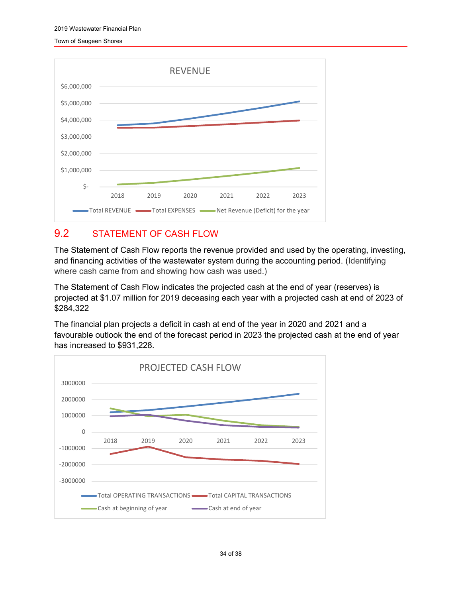

## <span id="page-34-0"></span>9.2 STATEMENT OF CASH FLOW

The Statement of Cash Flow reports the revenue provided and used by the operating, investing, and financing activities of the wastewater system during the accounting period. (Identifying where cash came from and showing how cash was used.)

The Statement of Cash Flow indicates the projected cash at the end of year (reserves) is projected at \$1.07 million for 2019 deceasing each year with a projected cash at end of 2023 of \$284,322

The financial plan projects a deficit in cash at end of the year in 2020 and 2021 and a favourable outlook the end of the forecast period in 2023 the projected cash at the end of year has increased to \$931,228.

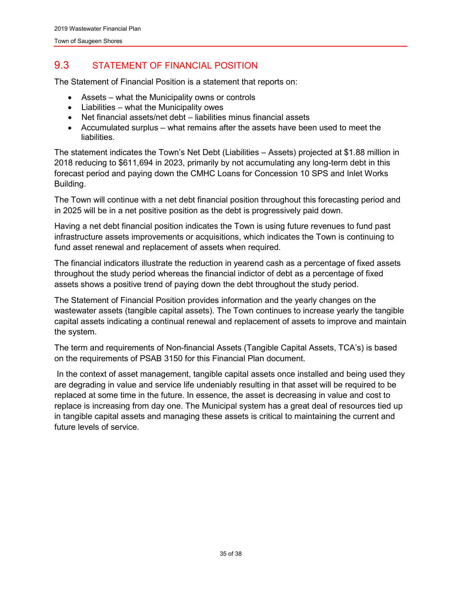## <span id="page-35-0"></span>9.3 STATEMENT OF FINANCIAL POSITION

The Statement of Financial Position is a statement that reports on:

- Assets what the Municipality owns or controls
- Liabilities what the Municipality owes
- Net financial assets/net debt liabilities minus financial assets
- Accumulated surplus what remains after the assets have been used to meet the liabilities.

The statement indicates the Town's Net Debt (Liabilities – Assets) projected at \$1.88 million in 2018 reducing to \$611,694 in 2023, primarily by not accumulating any long-term debt in this forecast period and paying down the CMHC Loans for Concession 10 SPS and Inlet Works Building.

The Town will continue with a net debt financial position throughout this forecasting period and in 2025 will be in a net positive position as the debt is progressively paid down.

Having a net debt financial position indicates the Town is using future revenues to fund past infrastructure assets improvements or acquisitions, which indicates the Town is continuing to fund asset renewal and replacement of assets when required.

The financial indicators illustrate the reduction in yearend cash as a percentage of fixed assets throughout the study period whereas the financial indictor of debt as a percentage of fixed assets shows a positive trend of paying down the debt throughout the study period.

The Statement of Financial Position provides information and the yearly changes on the wastewater assets (tangible capital assets). The Town continues to increase yearly the tangible capital assets indicating a continual renewal and replacement of assets to improve and maintain the system.

The term and requirements of Non-financial Assets (Tangible Capital Assets, TCA's) is based on the requirements of PSAB 3150 for this Financial Plan document.

In the context of asset management, tangible capital assets once installed and being used they are degrading in value and service life undeniably resulting in that asset will be required to be replaced at some time in the future. In essence, the asset is decreasing in value and cost to replace is increasing from day one. The Municipal system has a great deal of resources tied up in tangible capital assets and managing these assets is critical to maintaining the current and future levels of service.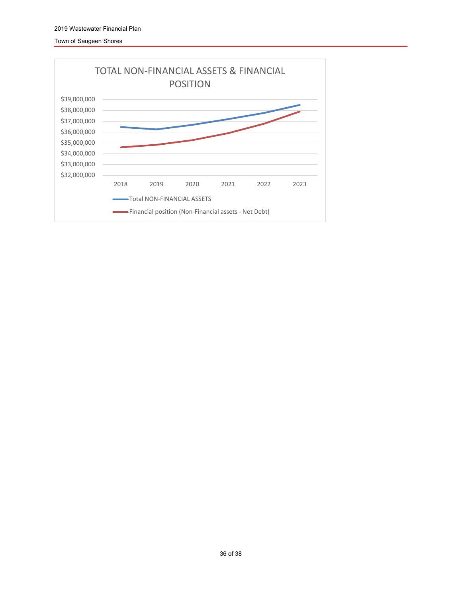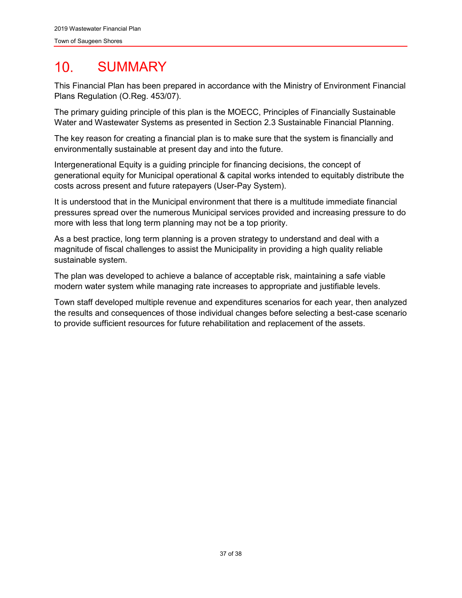#### <span id="page-37-0"></span> $10<sub>1</sub>$ **SUMMARY**

This Financial Plan has been prepared in accordance with the Ministry of Environment Financial Plans Regulation (O.Reg. 453/07).

The primary guiding principle of this plan is the MOECC, Principles of Financially Sustainable Water and Wastewater Systems as presented in Section 2.3 Sustainable Financial Planning.

The key reason for creating a financial plan is to make sure that the system is financially and environmentally sustainable at present day and into the future.

Intergenerational Equity is a guiding principle for financing decisions, the concept of generational equity for Municipal operational & capital works intended to equitably distribute the costs across present and future ratepayers (User-Pay System).

It is understood that in the Municipal environment that there is a multitude immediate financial pressures spread over the numerous Municipal services provided and increasing pressure to do more with less that long term planning may not be a top priority.

As a best practice, long term planning is a proven strategy to understand and deal with a magnitude of fiscal challenges to assist the Municipality in providing a high quality reliable sustainable system.

The plan was developed to achieve a balance of acceptable risk, maintaining a safe viable modern water system while managing rate increases to appropriate and justifiable levels.

Town staff developed multiple revenue and expenditures scenarios for each year, then analyzed the results and consequences of those individual changes before selecting a best-case scenario to provide sufficient resources for future rehabilitation and replacement of the assets.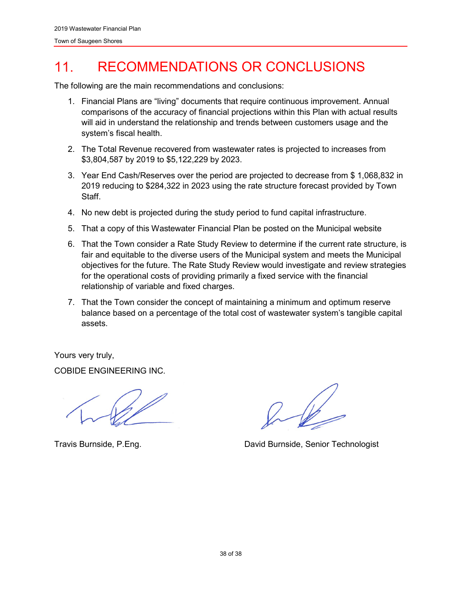#### <span id="page-38-0"></span> $11<sup>1</sup>$ RECOMMENDATIONS OR CONCLUSIONS

The following are the main recommendations and conclusions:

- 1. Financial Plans are "living" documents that require continuous improvement. Annual comparisons of the accuracy of financial projections within this Plan with actual results will aid in understand the relationship and trends between customers usage and the system's fiscal health.
- 2. The Total Revenue recovered from wastewater rates is projected to increases from \$3,804,587 by 2019 to \$5,122,229 by 2023.
- 3. Year End Cash/Reserves over the period are projected to decrease from \$ 1,068,832 in 2019 reducing to \$284,322 in 2023 using the rate structure forecast provided by Town Staff.
- 4. No new debt is projected during the study period to fund capital infrastructure.
- 5. That a copy of this Wastewater Financial Plan be posted on the Municipal website
- 6. That the Town consider a Rate Study Review to determine if the current rate structure, is fair and equitable to the diverse users of the Municipal system and meets the Municipal objectives for the future. The Rate Study Review would investigate and review strategies for the operational costs of providing primarily a fixed service with the financial relationship of variable and fixed charges.
- 7. That the Town consider the concept of maintaining a minimum and optimum reserve balance based on a percentage of the total cost of wastewater system's tangible capital assets.

Yours very truly,

COBIDE ENGINEERING INC.

Travis Burnside, P.Eng. Travis Burnside, Senior Technologist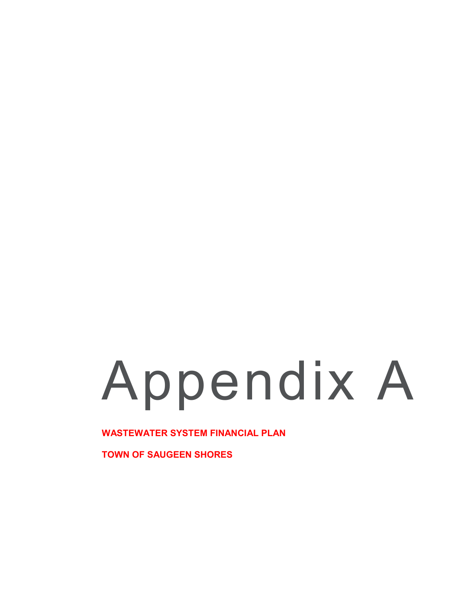# Appendix A

**WASTEWATER SYSTEM FINANCIAL PLAN**

**TOWN OF SAUGEEN SHORES**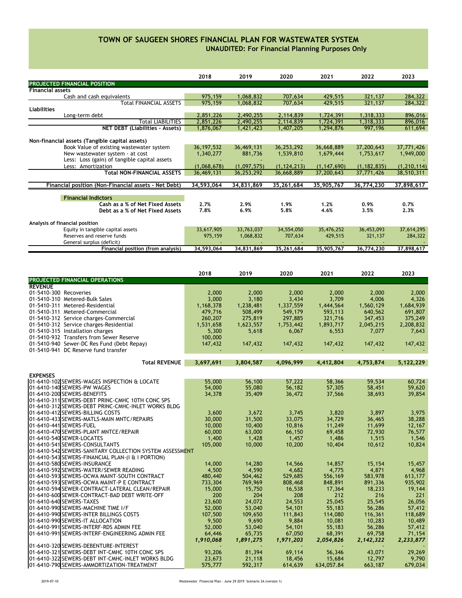#### **UNAUDITED: For Financial Planning Purposes Only TOWN OF SAUGEEN SHORES FINANCIAL PLAN FOR WASTEWATER SYSTEM**

|                                                      | 2018         | 2019        | 2020          | 2021          | 2022          | 2023          |
|------------------------------------------------------|--------------|-------------|---------------|---------------|---------------|---------------|
| <b>PROJECTED FINANCIAL POSITION</b>                  |              |             |               |               |               |               |
| <b>Financial assets</b>                              |              |             |               |               |               |               |
| Cash and cash equivalents                            | 975,159      | 1,068,832   | 707,634       | 429,515       | 321,137       | 284,322       |
| Total FINANCIAL ASSETS                               | 975,159      | 1,068,832   | 707,634       | 429,515       | 321,137       | 284,322       |
| <b>Liabilities</b>                                   |              |             |               |               |               |               |
| Long-term debt                                       | 2,851,226    | 2,490,255   | 2,114,839     | 1,724,391     | 1,318,333     | 896,016       |
| <b>Total LIABILITIES</b>                             | 2,851,226    | 2,490,255   | 2,114,839     | 1,724,391     | 1,318,333     | 896,016       |
| <b>NET DEBT (Liabilities - Assets)</b>               | 1,876,067    | 1,421,423   | 1,407,205     | 1,294,876     | 997,196       | 611,694       |
|                                                      |              |             |               |               |               |               |
| Non-financial assets (Tangible capital assets)       |              |             |               |               |               |               |
| Book Value of existing wastewater system             | 36, 197, 532 | 36,469,131  | 36,253,292    | 36,668,889    | 37,200,643    | 37,771,426    |
| New wastewater system - at cost                      | 1.340.277    | 881,736     | 1,539,810     | 1,679,444     | 1,753,617     | 1,949,000     |
| Less: Loss (gain) of tangible capital assets         |              |             |               |               |               |               |
| Less: Amortization                                   | (1,068,678)  | (1,097,575) | (1, 124, 213) | (1, 147, 690) | (1, 182, 835) | (1, 210, 114) |
| Total NON-FINANCIAL ASSETS                           | 36,469,131   | 36,253,292  | 36,668,889    | 37,200,643    | 37,771,426    | 38,510,311    |
|                                                      |              |             |               |               |               |               |
| Financial position (Non-Financial assets - Net Debt) | 34,593,064   | 34,831,869  | 35,261,684    | 35,905,767    | 36,774,230    | 37,898,617    |
|                                                      |              |             |               |               |               |               |
| <b>Financial Indictors</b>                           |              |             |               |               |               |               |
| Cash as a % of Net Fixed Assets                      | 2.7%         | 2.9%        | 1.9%          | 1.2%          | 0.9%          | 0.7%          |
| Debt as a % of Net Fixed Assets                      | 7.8%         | 6.9%        | 5.8%          | 4.6%          | 3.5%          | 2.3%          |
|                                                      |              |             |               |               |               |               |
| Analysis of financial position                       |              |             |               |               |               |               |
| Equity in tangible capital assets                    | 33,617,905   | 33,763,037  | 34,554,050    | 35,476,252    | 36,453,093    | 37,614,295    |
| Reserves and reserve funds                           | 975,159      | 1,068,832   | 707,634       | 429,515       | 321,137       | 284,322       |
| General surplus (deficit)                            |              |             |               |               |               |               |
| Financial position (from analysis)                   | 34.593.064   | 34.831.869  | 35.261.684    | 35.905.767    | 36.774.230    | 37.898.617    |

|                                                          | 2018      | 2019      | 2020      | 2021            | 2022      | 2023      |
|----------------------------------------------------------|-----------|-----------|-----------|-----------------|-----------|-----------|
| <b>PROJECTED FINANCIAL OPERATIONS</b>                    |           |           |           |                 |           |           |
| <b>REVENUE</b>                                           |           |           |           |                 |           |           |
| 01-5410-300 Recoveries                                   | 2,000     | 2,000     | 2,000     | 2,000           | 2,000     | 2,000     |
| 01-5410-310 Metered-Bulk Sales                           | 3,000     | 3,180     | 3,434     | 3,709           | 4,006     | 4,326     |
| 01-5410-311 Metered-Residential                          | 1,168,378 | 1,238,481 | 1,337,559 | 1,444,564       | 1,560,129 | 1,684,939 |
| 01-5410-311 Metered-Commercial                           | 479,716   | 508,499   | 549,179   | 593,113         | 640,562   | 691,807   |
| 01-5410-312 Service charges-Commercial                   | 260,207   | 275,819   | 297,885   | 321,716         | 347,453   | 375,249   |
| 01-5410-312 Service charges-Residential                  | 1,531,658 | 1,623,557 | 1,753,442 | 1,893,717       | 2,045,215 | 2,208,832 |
| 01-5410-315 Installation charges                         | 5,300     | 5,618     | 6,067     | 6,553           | 7,077     | 7,643     |
| 01-5410-932 Transfers from Sewer Reserve                 | 100,000   |           |           |                 |           |           |
| 01-5410-940 Sewer-DC Res Fund (Debt Repay)               | 147,432   | 147,432   | 147,432   | 147,432         | 147,432   | 147,432   |
| 01-5410-941 DC Reserve fund transfer                     |           |           |           |                 |           |           |
|                                                          |           |           |           |                 |           |           |
| <b>Total REVENUE</b>                                     | 3,697,691 | 3,804,587 | 4.096.999 | 4,412,804       | 4,753,874 | 5,122,229 |
| <b>EXPENSES</b>                                          |           |           |           |                 |           |           |
| 01-6410-102 SEWERS-WAGES INSPECTION & LOCATE             | 55,000    | 56,100    | 57,222    | 58,366          | 59,534    | 60,724    |
| 01-6410-140 SEWERS-PW WAGES                              | 54,000    | 55,080    | 56,182    | 57,305          | 58,451    | 59,620    |
| 01-6410-200 SEWERS-BENEFITS                              | 34,378    | 35,409    | 36,472    | 37,566          | 38,693    | 39,854    |
| 01-6410-311 SEWERS-DEBT PRINC-CMHC 10TH CONC SPS         |           |           |           |                 |           |           |
| 01-6410-312 SEWERS-DEBT PRINC-CMHC-INLET WORKS BLDG      |           |           |           |                 |           |           |
| 01-6410-412 SEWERS-BILLING COSTS                         | 3,600     | 3,672     | 3,745     | 3,820           | 3,897     | 3,975     |
| 01-6410-433 SEWERS-MATLS-MAIN MNTC/REPAIRS               | 30,000    | 31,500    | 33,075    | 34.729          | 36,465    | 38,288    |
| 01-6410-441 SEWERS-FUEL                                  | 10,000    | 10,400    | 10,816    | 11,249          | 11,699    | 12,167    |
| 01-6410-470 SEWERS-PLANT MNTCE/REPAIR                    | 60,000    | 63,000    | 66,150    | 69,458          | 72,930    | 76,577    |
| 01-6410-540 SEWER-LOCATES                                | 1,400     | 1,428     | 1,457     | 1,486           | 1,515     | 1,546     |
| 01-6410-541 SEWERS-CONSULTANTS                           | 105,000   | 10,000    | 10,200    | 10,404          | 10,612    | 10,824    |
| 01-6410-542 SEWERS-SANITARY COLLECTION SYSTEM ASSESSMENT |           |           |           |                 |           |           |
| 01-6410-543 SEWERS-FINANCIAL PLAN-(I & I PORTION)        |           |           |           |                 |           |           |
| 01-6410-580 SEWERS-INSURANCE                             |           |           |           |                 |           |           |
| 01-6410-592 SEWERS-WATER/SEWER READING                   | 14,000    | 14,280    | 14,566    | 14,857<br>4.775 | 15,154    | 15,457    |
|                                                          | 4,500     | 4,590     | 4,682     |                 | 4,871     | 4,968     |
| 01-6410-593 SEWERS-OCWA MAINT-SOUTH CONTRACT             | 480,440   | 504,462   | 529,685   | 556,169         | 583,978   | 613,177   |
| 01-6410-593 SEWERS-OCWA MAINT-P E CONTRACT               | 733,304   | 769,969   | 808,468   | 848,891         | 891,336   | 935,902   |
| 01-6410-594 SEWER-CONTRACT-LATERAL CLEAN/REPAIR          | 15,000    | 15,750    | 16,538    | 17,364          | 18,233    | 19,144    |
| 01-6410-600 SEWER-CONTRACT-BAD DEBT WRITE-OFF            | 200       | 204       | 208       | 212             | 216       | 221       |
| 01-6410-640 SEWERS-TAXES                                 | 23,600    | 24,072    | 24,553    | 25,045          | 25,545    | 26.056    |
| 01-6410-990 SEWERS-MACHINE TIME I/F                      | 52,000    | 53,040    | 54,101    | 55,183          | 56,286    | 57,412    |
| 01-6410-990 SEWERS-INTER BILLINGS COSTS                  | 107,500   | 109,650   | 111,843   | 114,080         | 116,361   | 118,689   |
| 01-6410-990 SEWERS-IT ALLOCATION                         | 9,500     | 9,690     | 9,884     | 10,081          | 10,283    | 10,489    |
| 01-6410-991 SEWERS-INTERF-RDS ADMIN FEE                  | 52,000    | 53,040    | 54,101    | 55,183          | 56,286    | 57,412    |
| 01-6410-991 SEWERS-INTERF-ENGINEERING ADMIN FEE          | 64,446    | 65,735    | 67,050    | 68,391          | 69,758    | 71,154    |
|                                                          | 1,910,068 | 1,891,275 | 1,971,203 | 2,054,826       | 2,142,322 | 2,233,877 |
| 01-6410-320 SEWERS-DEBENTURE-INTEREST                    |           |           |           |                 |           |           |
| 01-6410-321 SEWERS-DEBT INT-CMHC 10TH CONC SPS           | 93,206    | 81,394    | 69,114    | 56,346          | 43,071    | 29,269    |
| 01-6410-322 SEWERS-DEBT INT-CMHC-INLET WORKS BLDG        | 23,673    | 21,118    | 18,456    | 15,684          | 12,797    | 9.790     |
| 01-6410-790 SEWERS-AMMORTIZATION-TREATMENT               | 575,777   | 592,317   | 614,639   | 634,057.84      | 663,187   | 679,034   |